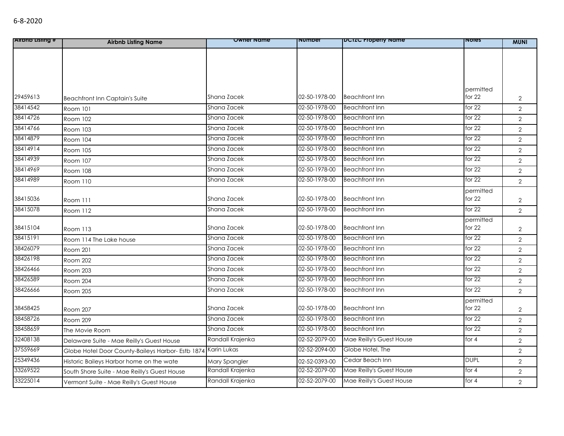| <b>Alrono Listing #</b> | <b>Airbnb Listing Name</b>                        | <b>Owner Name</b> | number        | <b>DUILC Property Name</b> | <b>NOTES</b> | <b>MUNI</b>    |
|-------------------------|---------------------------------------------------|-------------------|---------------|----------------------------|--------------|----------------|
|                         |                                                   |                   |               |                            |              |                |
|                         |                                                   |                   |               |                            |              |                |
|                         |                                                   |                   |               |                            |              |                |
|                         |                                                   |                   |               |                            |              |                |
|                         |                                                   |                   |               |                            | permitted    |                |
| 29459613                | <b>Beachfront Inn Captain's Suite</b>             | Shana Zacek       | 02-50-1978-00 | <b>Beachfront Inn</b>      | for $22$     | $\overline{2}$ |
| 38414542                | Room 101                                          | Shana Zacek       | 02-50-1978-00 | <b>Beachfront Inn</b>      | for $22$     | $\overline{2}$ |
| 38414726                | Room 102                                          | Shana Zacek       | 02-50-1978-00 | <b>Beachfront Inn</b>      | for $22$     | $\overline{2}$ |
| 38414766                | Room 103                                          | Shana Zacek       | 02-50-1978-00 | <b>Beachfront Inn</b>      | for $22$     | $\overline{2}$ |
| 38414879                | Room 104                                          | Shana Zacek       | 02-50-1978-00 | <b>Beachfront Inn</b>      | for $22$     | $\overline{2}$ |
| 38414914                | <b>Room 105</b>                                   | Shana Zacek       | 02-50-1978-00 | <b>Beachfront Inn</b>      | for 22       | $\overline{2}$ |
| 38414939                | Room 107                                          | Shana Zacek       | 02-50-1978-00 | <b>Beachfront Inn</b>      | for $22$     | $\overline{2}$ |
| 38414969                | Room 108                                          | Shana Zacek       | 02-50-1978-00 | <b>Beachfront Inn</b>      | for $22$     | $\overline{2}$ |
| 38414989                | Room 110                                          | Shana Zacek       | 02-50-1978-00 | <b>Beachfront Inn</b>      | for $22$     | $\overline{2}$ |
|                         |                                                   |                   |               |                            | permitted    |                |
| 38415036                | Room 111                                          | Shana Zacek       | 02-50-1978-00 | <b>Beachfront Inn</b>      | for 22       | $\overline{2}$ |
| 38415078                | Room 112                                          | Shana Zacek       | 02-50-1978-00 | <b>Beachfront Inn</b>      | for 22       | $\overline{2}$ |
|                         |                                                   |                   |               |                            | permitted    |                |
| 38415104                | Room 113                                          | Shana Zacek       | 02-50-1978-00 | <b>Beachfront Inn</b>      | for $22$     | $\overline{2}$ |
| 38415191                | Room 114 The Lake house                           | Shana Zacek       | 02-50-1978-00 | <b>Beachfront Inn</b>      | for $22$     | $\overline{2}$ |
| 38426079                | Room 201                                          | Shana Zacek       | 02-50-1978-00 | <b>Beachfront Inn</b>      | for $22$     | $\overline{2}$ |
| 38426198                | <b>Room 202</b>                                   | Shana Zacek       | 02-50-1978-00 | <b>Beachfront Inn</b>      | for $22$     | $\overline{2}$ |
| 38426466                | Room 203                                          | Shana Zacek       | 02-50-1978-00 | <b>Beachfront Inn</b>      | for $22$     | $\overline{2}$ |
| 38426589                | Room 204                                          | Shana Zacek       | 02-50-1978-00 | <b>Beachfront Inn</b>      | for $22$     | $\overline{2}$ |
| 38426666                | Room 205                                          | Shana Zacek       | 02-50-1978-00 | <b>Beachfront Inn</b>      | for $22$     | $\overline{2}$ |
|                         |                                                   |                   |               |                            | permitted    |                |
| 38458425                | Room 207                                          | Shana Zacek       | 02-50-1978-00 | <b>Beachfront Inn</b>      | for 22       | $\overline{2}$ |
| 38458726                | Room 209                                          | Shana Zacek       | 02-50-1978-00 | <b>Beachfront Inn</b>      | for 22       | $\overline{2}$ |
| 38458659                | The Movie Room                                    | Shana Zacek       | 02-50-1978-00 | <b>Beachfront Inn</b>      | for $22$     | $\overline{2}$ |
| 32408138                | Delaware Suite - Mae Reilly's Guest House         | Randall Krajenka  | 02-52-2079-00 | Mae Reilly's Guest House   | for 4        | $\overline{2}$ |
| 37559669                | Globe Hotel Door County-Baileys Harbor- Estb 1874 | Karin Lukas       | 02-52-2094-00 | Globe Hotel, The           |              | $\overline{2}$ |
| 25349436                | Historic Baileys Harbor home on the wate          | Mary Spangler     | 02-52-0393-00 | Cedar Beach Inn            | <b>DUPL</b>  | $\overline{2}$ |
| 33269522                | South Shore Suite - Mae Reilly's Guest House      | Randall Krajenka  | 02-52-2079-00 | Mae Reilly's Guest House   | for $4$      | $\overline{2}$ |
| 33225014                | Vermont Suite - Mae Reilly's Guest House          | Randall Krajenka  | 02-52-2079-00 | Mae Reilly's Guest House   | for 4        | $\overline{2}$ |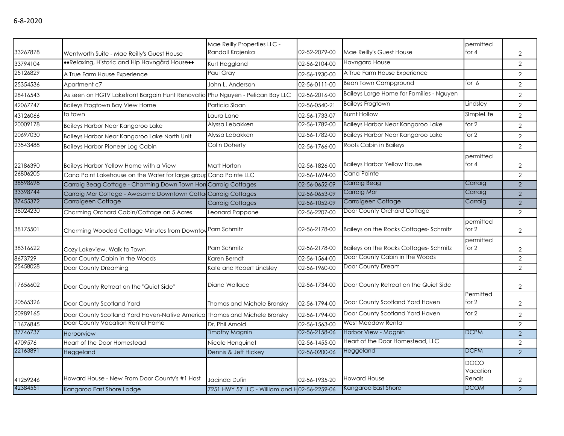| 33267878 | Wentworth Suite - Mae Reilly's Guest House                                    | Mae Reilly Properties LLC -<br>Randall Krajenka | 02-52-2079-00 | Mae Reilly's Guest House                 | permitted<br>for $4$              | 2              |
|----------|-------------------------------------------------------------------------------|-------------------------------------------------|---------------|------------------------------------------|-----------------------------------|----------------|
| 33794104 | ◆◆Relaxing, Historic and Hip Havngård House◆◆                                 | Kurt Heggland                                   | 02-56-2104-00 | <b>Havngard House</b>                    |                                   | $\overline{2}$ |
| 25126829 | A True Farm House Experience                                                  | Paul Grav                                       | 02-56-1930-00 | A True Farm House Experience             |                                   | $\overline{2}$ |
| 25354536 | Apartment c7                                                                  | John L. Anderson                                | 02-56-0111-00 | <b>Bean Town Campground</b>              | for 6                             | $\overline{2}$ |
| 28416543 | As seen on HGTV Lakefront Bargain Hunt Renovatio Phu Nguyen - Pelican Bay LLC |                                                 | 02-56-2016-00 | Baileys Large Home for Families - Nguyen |                                   | $\overline{2}$ |
| 42067747 | <b>Baileys Frogtown Bay View Home</b>                                         | Particia Sloan                                  | 02-56-0540-21 | <b>Baileys Frogtown</b>                  | Lindsley                          | $\overline{2}$ |
| 43126066 | to town                                                                       | Laura Lane                                      | 02-56-1733-07 | <b>Burnt Hollow</b>                      | SImpleLife                        | $\overline{2}$ |
| 20009178 | Baileys Harbor Near Kangaroo Lake                                             | Alyssa Lebakken                                 | 02-56-1782-00 | Baileys Harbor Near Kangaroo Lake        | for $2$                           | $\overline{2}$ |
| 20697030 | Baileys Harbor Near Kangaroo Lake North Unit                                  | Alyssa Lebakken                                 | 02-56-1782-00 | Baileys Harbor Near Kangaroo Lake        | for 2                             | $\overline{2}$ |
| 23543488 | <b>Baileys Harbor Pioneer Log Cabin</b>                                       | Colin Doherty                                   | 02-56-1766-00 | Roots Cabin in Baileys                   |                                   | $\overline{2}$ |
| 22186390 | Baileys Harbor Yellow Home with a View                                        | Matt Horton                                     | 02-56-1826-00 | <b>Baileys Harbor Yellow House</b>       | permitted<br>for $4$              | $\overline{2}$ |
| 26806205 | Cana Point Lakehouse on the Water for large group Cana Pointe LLC             |                                                 | 02-56-1694-00 | Cana Pointe                              |                                   | $\overline{2}$ |
| 38598698 | Carraig Beag Cottage - Charming Down Town Hon Carraig Cottages                |                                                 | 02-56-0652-09 | Carraig Beag                             | Carraig                           | $\overline{2}$ |
| 33398744 | Carraig Mor Cottage - Awesome Downtown Cotta Carraig Cottages                 |                                                 | 02-56-0653-09 | Carraig Mor                              | Carraig                           | $\overline{2}$ |
| 37455372 | Carraigeen Cottage                                                            | <b>Carraig Cottages</b>                         | 02-56-1052-09 | Carraigeen Cottage                       | Carraig                           | 2              |
| 38024230 | Charming Orchard Cabin/Cottage on 5 Acres                                     | Leonard Pappone                                 | 02-56-2207-00 | Door County Orchard Cottage              |                                   | $\overline{2}$ |
| 38175501 | Charming Wooded Cottage Minutes from Downtov Pam Schmitz                      |                                                 | 02-56-2178-00 | Baileys on the Rocks Cottages-Schmitz    | permitted<br>for $2$              | $\overline{2}$ |
| 38316622 | Cozy Lakeview, Walk to Town                                                   | Pam Schmitz                                     | 02-56-2178-00 | Baileys on the Rocks Cottages-Schmitz    | permitted<br>for $2$              | 2              |
| 8673729  | Door County Cabin in the Woods                                                | Karen Berndt                                    | 02-56-1564-00 | Door County Cabin in the Woods           |                                   | $\mathbf{2}$   |
| 25458028 | Door County Dreaming                                                          | Kate and Robert Lindsley                        | 02-56-1960-00 | Door County Dream                        |                                   | $\overline{2}$ |
| 17656602 | Door County Retreat on the "Quiet Side"                                       | Diana Wallace                                   | 02-56-1734-00 | Door County Retreat on the Quiet Side    |                                   | $\overline{2}$ |
| 20565326 | Door County Scotland Yard                                                     | Thomas and Michele Bronsky                      | 02-56-1794-00 | Door County Scotland Yard Haven          | Permitted<br>for 2                | 2              |
| 20989165 | Door County Scotland Yard Haven-Native America Thomas and Michele Bronsky     |                                                 | 02-56-1794-00 | Door County Scotland Yard Haven          | for 2                             | $\overline{2}$ |
| 11676845 | Door County Vacation Rental Home                                              | Dr. Phil Arnold                                 | 02-56-1563-00 | West Meadow Rental                       |                                   | $\overline{2}$ |
| 37746737 | Harborview                                                                    | <b>Timothy Magnin</b>                           | 02-56-2158-06 | Harbor View - Magnin                     | <b>DCPM</b>                       | 2              |
| 4709576  | Heart of the Door Homestead                                                   | Nicole Henguinet                                | 02-56-1455-00 | Heart of the Door Homestead, LLC         |                                   | $\overline{2}$ |
| 22163891 | Heggeland                                                                     | Dennis & Jeff Hickey                            | 02-56-0200-06 | Heggeland                                | <b>DCPM</b>                       | $\overline{2}$ |
| 41259246 | Howard House - New From Door County's #1 Host                                 | Jacinda Dufin                                   | 02-56-1935-20 | <b>Howard House</b>                      | <b>DOCO</b><br>Vacation<br>Renals | $\overline{2}$ |
| 42384551 | Kangaroo East Shore Lodge                                                     | 7251 HWY 57 LLC - William and H02-56-2259-06    |               | Kangaroo East Shore                      | <b>DCOM</b>                       | 2              |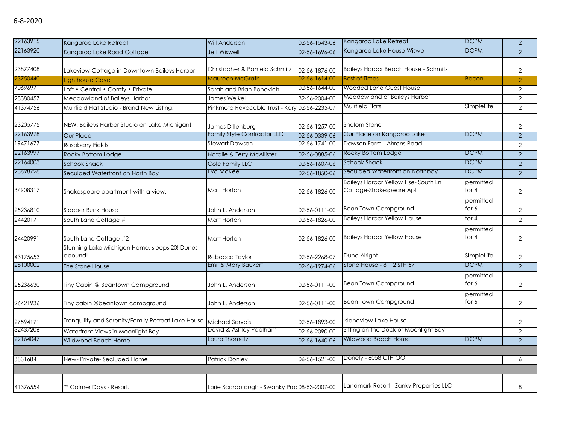| 22163915 | Kangaroo Lake Retreat                                    | <b>Will Anderson</b>                         | 02-56-1543-06 | Kangaroo Lake Retreat                                         | <b>DCPM</b>          | $\overline{2}$ |
|----------|----------------------------------------------------------|----------------------------------------------|---------------|---------------------------------------------------------------|----------------------|----------------|
| 22163920 | Kangaroo Lake Road Cottage                               | <b>Jeff Wiswell</b>                          | 02-56-1696-06 | Kangaroo Lake House Wiswell                                   | <b>DCPM</b>          | $\overline{2}$ |
| 23877408 | Lakeview Cottage in Downtown Baileys Harbor              | Christopher & Pamela Schmitz                 | 02-56-1876-00 | <b>Baileys Harbor Beach House - Schmitz</b>                   |                      | $\overline{2}$ |
| 23750440 | Lighthouse Cove                                          | Maureen McGrath                              | 02-56-1614-00 | <b>Best of Times</b>                                          | <b>Bacon</b>         | $\overline{2}$ |
| 7069697  | Loft • Central • Comfy • Private                         | Sarah and Brian Bonovich                     | 02-56-1644-00 | <b>Wooded Lane Guest House</b>                                |                      | $\overline{2}$ |
| 28380457 | Meadowland of Baileys Harbor                             | James Weikel                                 | 32-56-2004-00 | Meadowland of Baileys Harbor                                  |                      | $\overline{2}$ |
| 41374756 | Muirfield Flat Studio - Brand New Listing!               | Pinkmoto Revocable Trust - Kary              | 02-56-2235-07 | Muirfield Flats                                               | SImpleLife           | $\overline{2}$ |
| 23205775 | NEW! Baileys Harbor Studio on Lake Michigan!             | James Dillenburg                             | 02-56-1257-00 | <b>Shalom Stone</b>                                           |                      | $\overline{2}$ |
| 22163978 | <b>Our Place</b>                                         | <b>Family Style Contractor LLC</b>           | 02-56-0339-06 | Our Place on Kangaroo Lake                                    | <b>DCPM</b>          | $\overline{2}$ |
| 19471677 | <b>Raspberry Fields</b>                                  | Stewart Dawson                               | 02-56-1741-00 | Dawson Farm - Ahrens Road                                     |                      | $\overline{2}$ |
| 22163997 | Rocky Bottom Lodge                                       | Natalie & Terry McAllister                   | 02-56-0885-06 | Rocky Bottom Lodge                                            | <b>DCPM</b>          | $\overline{2}$ |
| 22164003 | <b>Schook Shack</b>                                      | Cole Family LLC                              | 02-56-1607-06 | Schook Shack                                                  | <b>DCPM</b>          | $\overline{2}$ |
| 23698728 | Seculded Waterfront on North Bay                         | Eva McKee                                    | 02-56-1850-06 | Seculded Waterfront on Northbay                               | <b>DCPM</b>          | $\overline{2}$ |
| 34908317 | Shakespeare apartment with a view.                       | Matt Horton                                  | 02-56-1826-00 | Baileys Harbor Yellow Hse-South Ln<br>Cottage-Shakespeare Apt | permitted<br>for $4$ | $\mathbf{2}$   |
| 25236810 | Sleeper Bunk House                                       | John L. Anderson                             | 02-56-0111-00 | <b>Bean Town Campground</b>                                   | permitted<br>for 6   | $\overline{2}$ |
| 24420171 | South Lane Cottage #1                                    | Matt Horton                                  | 02-56-1826-00 | <b>Baileys Harbor Yellow House</b>                            | for 4                | $\overline{2}$ |
| 24420991 | South Lane Cottage #2                                    | Matt Horton                                  | 02-56-1826-00 | <b>Baileys Harbor Yellow House</b>                            | permitted<br>for $4$ | $\overline{2}$ |
| 43175653 | Stunning Lake Michigan Home, sleeps 20! Dunes<br>abound! | Rebecca Taylor                               | 02-56-2268-07 | Dune Alright                                                  | SImpleLife           | $\overline{2}$ |
| 28100002 | The Stone House                                          | Emil & Mary Baukert                          | 02-56-1974-06 | Stone House - 8112 STH 57                                     | <b>DCPM</b>          | $\overline{2}$ |
| 25236630 | Tiny Cabin @ Beantown Campground                         | John L. Anderson                             | 02-56-0111-00 | <b>Bean Town Campground</b>                                   | permitted<br>for 6   | $\overline{2}$ |
| 26421936 | Tiny cabin @beantown campground                          | John L. Anderson                             | 02-56-0111-00 | <b>Bean Town Campground</b>                                   | permitted<br>for 6   | 2              |
| 27594171 | Tranquility and Serenity/Family Retreat Lake House       | Michael Servais                              | 02-56-1893-00 | <b>Islandview Lake House</b>                                  |                      | 2              |
| 32437206 | Waterfront Views in Moonlight Bay                        | David & Ashley Paplham                       | 02-56-2090-00 | Sitting on the Dock of Moonlight Bay                          |                      | $\overline{2}$ |
| 22164047 | <b>Wildwood Beach Home</b>                               | Laura Thometz                                | 02-56-1640-06 | Wildwood Beach Home                                           | <b>DCPM</b>          | $\overline{2}$ |
| 3831684  | New-Private-Secluded Home                                | <b>Patrick Donley</b>                        | 06-56-1521-00 | Donely - 6058 CTH OO                                          |                      | 6              |
| 41376554 | ** Calmer Days - Resort.                                 | Lorie Scarborough - Swanky Pron08-53-2007-00 |               | Landmark Resort - Zanky Properties LLC                        |                      | 8              |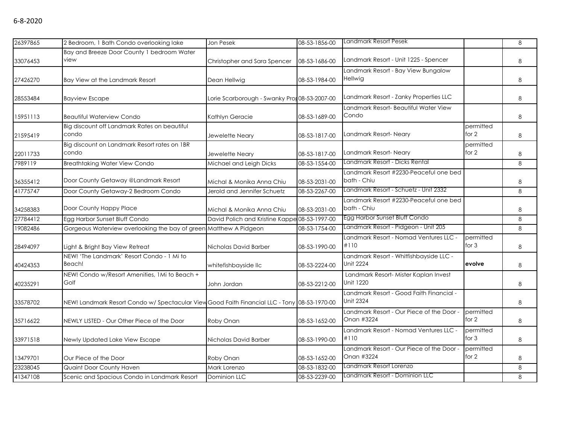| 26397865 | 2 Bedroom, 1 Bath Condo overlooking lake                                                    | Jon Pesek                                     | 08-53-1856-00 | Landmark Resort Pesek                                        |                      | 8 |
|----------|---------------------------------------------------------------------------------------------|-----------------------------------------------|---------------|--------------------------------------------------------------|----------------------|---|
| 33076453 | Bay and Breeze Door County 1 bedroom Water<br>view                                          | Christopher and Sara Spencer                  | 08-53-1686-00 | Landmark Resort - Unit 1225 - Spencer                        |                      | 8 |
| 27426270 | Bay View at the Landmark Resort                                                             | Dean Hellwig                                  | 08-53-1984-00 | Landmark Resort - Bay View Bungalow<br>Hellwig               |                      | 8 |
| 28553484 | <b>Bayview Escape</b>                                                                       | Lorie Scarborough - Swanky Pror 08-53-2007-00 |               | Landmark Resort - Zanky Properties LLC                       |                      | 8 |
| 15951113 | <b>Beautiful Waterview Condo</b>                                                            | Kathlyn Geracie                               | 08-53-1689-00 | Landmark Resort- Beautiful Water View<br>Condo               |                      | 8 |
| 21595419 | Big discount off Landmark Rates on beautiful<br>condo                                       | Jewelette Neary                               | 08-53-1817-00 | Landmark Resort-Neary                                        | permitted<br>for 2   | 8 |
| 22011733 | Big discount on Landmark Resort rates on 1BR<br>condo                                       | Jewelette Neary                               | 08-53-1817-00 | Landmark Resort-Neary                                        | permitted<br>for 2   | 8 |
| 7989119  | <b>Breathtaking Water View Condo</b>                                                        | Michael and Leigh Dicks                       | 08-53-1554-00 | Landmark Resort - Dicks Rental                               |                      | 8 |
| 36355412 | Door County Getaway @Landmark Resort                                                        | Michal & Monika Anna Chiu                     | 08-53-2031-00 | Landmark Resort #2230-Peaceful one bed<br>bath - Chiu        |                      | 8 |
| 41775747 | Door County Getaway-2 Bedroom Condo                                                         | Jerold and Jennifer Schuetz                   | 08-53-2267-00 | Landmark Resort - Schuetz - Unit 2332                        |                      | 8 |
| 34258383 | Door County Happy Place                                                                     | Michal & Monika Anna Chiu                     | 08-53-2031-00 | Landmark Resort #2230-Peaceful one bed<br>bath - Chiu        |                      | 8 |
| 27784412 | Egg Harbor Sunset Bluff Condo                                                               | David Polich and Kristine Kappe 08-53-1997-00 |               | Egg Harbor Sunset Bluff Condo                                |                      | 8 |
| 19082486 | Gorgeous Waterview overlooking the bay of green Matthew A Pidgeon                           |                                               | 08-53-1754-00 | Landmark Resort - Pidgeon - Unit 205                         |                      | 8 |
| 28494097 | Light & Bright Bay View Retreat                                                             | Nicholas David Barber                         | 08-53-1990-00 | Landmark Resort - Nomad Ventures LLC -<br>#110               | permitted<br>for $3$ | 8 |
| 40424353 | NEW! 'The Landmark' Resort Condo - 1 Mi to<br>Beach!                                        | whitefishbayside llc                          | 08-53-2224-00 | Landmark Resort - Whitfishbayside LLC -<br><b>Unit 2224</b>  | evolve               | 8 |
| 40235291 | NEW! Condo w/Resort Amenities, 1Mi to Beach +<br>Golf                                       | John Jordan                                   | 08-53-2212-00 | Landmark Resort- Mister Kaplan Invest<br>Unit 1220           |                      | 8 |
| 33578702 | NEW! Landmark Resort Condo w/ Spectacular ViewGood Faith Financial LLC - Tony 08-53-1970-00 |                                               |               | Landmark Resort - Good Faith Financial -<br><b>Unit 2324</b> |                      | 8 |
| 35716622 | NEWLY LISTED - Our Other Piece of the Door                                                  | Roby Onan                                     | 08-53-1652-00 | Landmark Resort - Our Piece of the Door -<br>Onan #3224      | permitted<br>for 2   | 8 |
| 33971518 | Newly Updated Lake View Escape                                                              | Nicholas David Barber                         | 08-53-1990-00 | Landmark Resort - Nomad Ventures LLC -<br>#110               | permitted<br>for $3$ | 8 |
| 13479701 | Our Piece of the Door                                                                       | Roby Onan                                     | 08-53-1652-00 | Landmark Resort - Our Piece of the Door -<br>Onan #3224      | permitted<br>for $2$ | 8 |
| 23238045 | Quaint Door County Haven                                                                    | Mark Lorenzo                                  | 08-53-1832-00 | Landmark Resort Lorenzo                                      |                      | 8 |
| 41347108 | Scenic and Spacious Condo in Landmark Resort                                                | Dominion LLC                                  | 08-53-2239-00 | Landmark Resort - Dominion LLC                               |                      | 8 |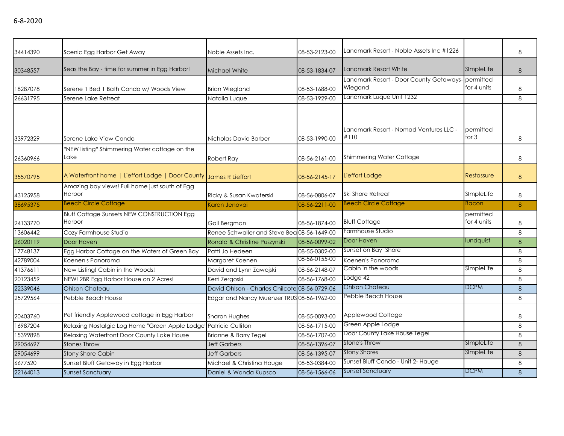| 34414390 | Scenic Egg Harbor Get Away                                        | Noble Assets Inc.                             | 08-53-2123-00 | Landmark Resort - Noble Assets Inc #1226                     |                          | 8            |
|----------|-------------------------------------------------------------------|-----------------------------------------------|---------------|--------------------------------------------------------------|--------------------------|--------------|
| 30348557 | Seas the Bay - time for summer in Egg Harbor!                     | Michael White                                 | 08-53-1834-07 | Landmark Resort White                                        | SimpleLife               | 8            |
| 18287078 | Serene 1 Bed 1 Bath Condo w/ Woods View                           | <b>Brian Wiegland</b>                         | 08-53-1688-00 | Landmark Resort - Door County Getaways- permitted<br>Wiegand | for 4 units              | 8            |
| 26631795 | Serene Lake Retreat                                               | Natalia Luque                                 | 08-53-1929-00 | Landmark Luque Unit 1232                                     |                          | 8            |
| 33972329 | Serene Lake View Condo                                            | Nicholas David Barber                         | 08-53-1990-00 | Landmark Resort - Nomad Ventures LLC -<br>#110               | permitted<br>for $3$     | 8            |
| 26360966 | *NEW listing* Shimmering Water cottage on the<br>Lake             | Robert Ray                                    | 08-56-2161-00 | <b>Shimmering Water Cottage</b>                              |                          | 8            |
| 35570795 | A Waterfront home   Lieffort Lodge   Door County                  | <b>James R Lieffort</b>                       | 08-56-2145-17 | Lieffort Lodge                                               | <b>Restassure</b>        | 8            |
| 43125958 | Amazing bay views! Full home just south of Egg<br>Harbor          | Ricky & Susan Kwaterski                       | 08-56-0806-07 | Ski Shore Retreat                                            | SImpleLife               | 8            |
| 38695375 | <b>Beech Circle Cottage</b>                                       | Karen Jenovai                                 | 08-56-2211-00 | <b>Beech Circle Cottage</b>                                  | Bacon                    | 8            |
| 24133770 | <b>Bluff Cottage Sunsets NEW CONSTRUCTION Egg</b><br>Harbor       | Gail Bergman                                  | 08-56-1874-00 | <b>Bluff Cottage</b>                                         | permitted<br>for 4 units | 8            |
| 13606442 | Cozy Farmhouse Studio                                             | Renee Schwaller and Steve Bea 08-56-1649-00   |               | Farmhouse Studio                                             |                          | 8            |
| 26020119 | Door Haven                                                        | Ronald & Christine Puszynski                  | 08-56-0099-02 | Door Haven                                                   | lundquist                | 8            |
| 17748137 | Egg Harbor Cottage on the Waters of Green Bay                     | Patti Jo Hedeen                               | 08-55-0302-00 | Sunset on Bay Shore                                          |                          | 8            |
| 42789004 | Koenen's Panorama                                                 | Margaret Koenen                               | 08-56-0155-00 | Koenen's Panorama                                            |                          | 8            |
| 41376611 | New Listing! Cabin in the Woods!                                  | David and Lynn Zawojski                       | 08-56-2148-07 | Cabin in the woods                                           | SImpleLife               | 8            |
| 20123459 | NEW! 2BR Egg Harbor House on 2 Acres!                             | Kerri Zergoski                                | 08-56-1768-00 | Lodge 42                                                     |                          | 8            |
| 22339046 | <b>Ohlson Chateau</b>                                             | David Ohlson - Charles Chilcote 08-56-0729-06 |               | Ohlson Chateau                                               | <b>DCPM</b>              | 8            |
| 25729564 | Pebble Beach House                                                | Edgar and Nancy Muenzer TRUS 08-56-1962-00    |               | Pebble Beach House                                           |                          | 8            |
| 20403760 | Pet friendly Applewood cottage in Egg Harbor                      | <b>Sharon Hughes</b>                          | 08-55-0093-00 | Applewood Cottage                                            |                          | 8            |
| 16987204 | Relaxing Nostalgic Log Home "Green Apple Lodge" Patricia Culliton |                                               | 08-56-1715-00 | Green Apple Lodge                                            |                          | 8            |
| 15399898 | Relaxing Waterfront Door County Lake House                        | Brianne & Barry Tegel                         | 08-56-1707-00 | Door County Lake House Tegel                                 |                          | 8            |
| 29054697 | <b>Stones Throw</b>                                               | <b>Jeff Garbers</b>                           | 08-56-1396-07 | Stone's Throw                                                | SimpleLife               | 8            |
| 29054699 | <b>Stony Shore Cabin</b>                                          | <b>Jeff Garbers</b>                           | 08-56-1395-07 | <b>Stony Shores</b>                                          | SimpleLife               | $\mathsf{R}$ |
| 6677520  | Sunset Bluff Getaway in Egg Harbor                                | Michael & Christina Hauge                     | 08-53-0384-00 | Sunset Bluff Condo - Unit 2- Hauge                           |                          | 8            |
| 22164013 | <b>Sunset Sanctuary</b>                                           | Daniel & Wanda Kupsco                         | 08-56-1566-06 | <b>Sunset Sanctuary</b>                                      | <b>DCPM</b>              | 8            |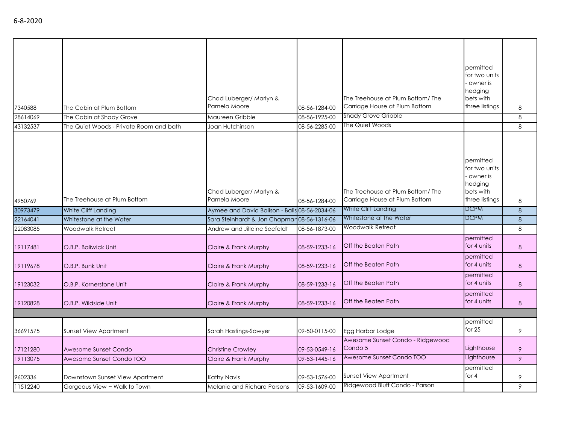| 7340588  | The Cabin at Plum Bottom                | Chad Luberger/ Marlyn &<br>Pamela Moore       | 08-56-1284-00 | The Treehouse at Plum Bottom/ The<br>Carriage House at Plum Bottom | permitted<br>for two units<br>owner is<br>hedging<br>bets with<br>three listings | 8       |
|----------|-----------------------------------------|-----------------------------------------------|---------------|--------------------------------------------------------------------|----------------------------------------------------------------------------------|---------|
| 28614069 | The Cabin at Shady Grove                | Maureen Gribble                               | 08-56-1925-00 | Shady Grove Gribble                                                |                                                                                  | 8       |
| 43132537 | The Quiet Woods - Private Room and bath | Joan Hutchinson                               | 08-56-2285-00 | The Quiet Woods                                                    |                                                                                  | 8       |
| 4950769  | The Treehouse at Plum Bottom            | Chad Luberger/ Marlyn &<br>Pamela Moore       | 08-56-1284-00 | The Treehouse at Plum Bottom/The<br>Carriage House at Plum Bottom  | permitted<br>for two units<br>owner is<br>hedging<br>bets with<br>three listings | 8       |
| 30973479 | White Cliff Landing                     | Aymee and David Balison - Balis 08-56-2034-06 |               | White Cliff Landing                                                | <b>DCPM</b>                                                                      | 8       |
| 22164041 | Whitestone at the Water                 | Sara Steinhardt & Jon Chapmar 08-56-1316-06   |               | Whitestone at the Water                                            | <b>DCPM</b>                                                                      | $\,8\,$ |
| 22083085 | Woodwalk Retreat                        | Andrew and Jillaine Seefeldt                  | 08-56-1873-00 | Woodwalk Retreat                                                   |                                                                                  | 8       |
| 19117481 | O.B.P. Baliwick Unit                    | Claire & Frank Murphy                         | 08-59-1233-16 | Off the Beaten Path                                                | permitted<br>for 4 units                                                         | 8       |
| 19119678 | O.B.P. Bunk Unit                        | Claire & Frank Murphy                         | 08-59-1233-16 | Off the Beaten Path                                                | permitted<br>for 4 units                                                         | 8       |
| 19123032 | O.B.P. Kornerstone Unit                 | Claire & Frank Murphy                         | 08-59-1233-16 | Off the Beaten Path                                                | permitted<br>for 4 units                                                         | 8       |
| 19120828 | O.B.P. Wildside Unit                    | Claire & Frank Murphy                         | 08-59-1233-16 | Off the Beaten Path                                                | permitted<br>for 4 units                                                         | 8       |
|          |                                         |                                               |               |                                                                    |                                                                                  |         |
| 36691575 | <b>Sunset View Apartment</b>            | Sarah Hastings-Sawyer                         | 09-50-0115-00 | Egg Harbor Lodge                                                   | permitted<br>for $25$                                                            | 9       |
| 17121280 | Awesome Sunset Condo                    | <b>Christine Crowley</b>                      | 09-53-0549-16 | Awesome Sunset Condo - Ridgewood<br>Condo 5                        | Lighthouse                                                                       | 9       |
| 19113075 | Awesome Sunset Condo TOO                | Claire & Frank Murphy                         | 09-53-1445-16 | Awesome Sunset Condo TOO                                           | Lighthouse                                                                       | 9       |
| 9602336  | Downstown Sunset View Apartment         | Kathy Navis                                   | 09-53-1576-00 | <b>Sunset View Apartment</b>                                       | permitted<br>for 4                                                               | 9       |
| 11512240 | Gorgeous View ~ Walk to Town            | Melanie and Richard Parsons                   | 09-53-1609-00 | Ridgewood Bluff Condo - Parson                                     |                                                                                  | 9       |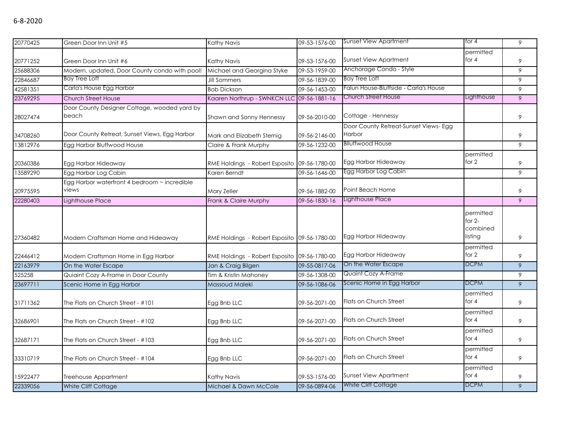| 20770425 | Green Door Inn Unit #5                                | Kathy Navis                                  | 09-53-1576-00 | <b>Sunset View Apartment</b>                           | for 4                                                     | 9              |
|----------|-------------------------------------------------------|----------------------------------------------|---------------|--------------------------------------------------------|-----------------------------------------------------------|----------------|
| 20771252 | Green Door Inn Unit #6                                | Kathy Navis                                  | 09-53-1576-00 | <b>Sunset View Apartment</b>                           | permitted<br>for $4$                                      | 9              |
| 25688306 | Modern, updated, Door County condo with pool!         | Michael and Georgina Styke                   | 09-53-1959-00 | Anchorage Condo - Style                                |                                                           | 9              |
| 22846687 | <b>Bay Tree Loft</b>                                  | <b>Jill Sommers</b>                          | 09-56-1839-00 | <b>Bay Tree Loft</b>                                   |                                                           | 9              |
| 42581351 | Carla's House Egg Harbor                              | <b>Bob Dickson</b>                           | 09-56-1453-00 | Falun House-Bluffside - Carla's House                  |                                                           | 9              |
| 23769295 | <b>Church Street House</b>                            | Kaaren Northrup - SWNKCN LLC 09-56-1881-16   |               | Church Street House                                    | Lighthouse                                                | 9              |
| 28027474 | Door County Designer Cottage, wooded yard by<br>beach | Shawn and Sonny Hennessy                     | 09-56-2010-00 | Cottage - Hennessy                                     |                                                           | 9              |
| 34708260 | Door County Retreat, Sunset Views, Egg Harbor         | Mark and Elizabeth Sternig                   | 09-56-2146-00 | Door County Retreat-Sunset Views- Egg<br><b>Harbor</b> |                                                           | 9              |
| 13812976 | Egg Harbor Bluffwood House                            | Claire & Frank Murphy                        | 09-56-1232-00 | <b>Blluffwood House</b>                                |                                                           | 9              |
| 20360386 | Egg Harbor Hideaway                                   | RME Holdings - Robert Esposito 09-56-1780-00 |               | Egg Harbor Hideaway                                    | permitted<br>for 2                                        | 9              |
| 13589290 | Egg Harbor Log Cabin                                  | Karen Berndt                                 | 09-56-1646-00 | Egg Harbor Log Cabin                                   |                                                           | 9              |
| 20975595 | Egg Harbor waterfront 4 bedroom ~ incredible<br>views | Mary Zeller                                  | 09-56-1882-00 | Point Beach Home                                       |                                                           | 9              |
| 22280403 | Lighthouse Place                                      | Frank & Claire Murphy                        | 09-56-1830-16 | Lighthouse Place                                       |                                                           | $\overline{9}$ |
| 27360482 | Modern Craftsman Home and Hideaway                    | RME Holdings - Robert Esposito 09-56-1780-00 |               | Egg Harbor Hideaway                                    | permitted<br>for $2-$<br>combined<br>listing<br>permitted | 9              |
| 22446412 | Modern Craftsman Home in Egg Harbor                   | RME Holdings - Robert Esposito 09-56-1780-00 |               | Egg Harbor Hideaway                                    | for 2                                                     | 9              |
| 22163979 | On the Water Escape                                   | Jan & Craig Bilgen                           | 09-55-0817-06 | On the Water Escape                                    | <b>DCPM</b>                                               | 9              |
| 525258   | Quiaint Cozy A-Frame in Door County                   | Tim & Kristin Mahoney                        | 09-56-1308-00 | Quaint Cozy A-Frame                                    |                                                           | 9              |
| 23697711 | Scenic Home in Egg Harbor                             | Massoud Maleki                               | 09-56-1086-06 | Scenic Home in Egg Harbor                              | <b>DCPM</b>                                               | 9              |
| 31711362 | The Flats on Church Street - #101                     | Egg Bnb LLC                                  | 09-56-2071-00 | Flats on Church Street                                 | permitted<br>for $4$                                      | 9              |
| 32686901 | The Flats on Church Street - #102                     | Egg Bnb LLC                                  | 09-56-2071-00 | Flats on Church Street                                 | permitted<br>for $4$                                      | 9              |
| 32687171 | The Flats on Church Street - #103                     | Egg Bnb LLC                                  | 09-56-2071-00 | Flats on Church Street                                 | permitted<br>for $4$                                      | 9              |
| 33310719 | The Flats on Church Street - #104                     | Egg Bnb LLC                                  | 09-56-2071-00 | Flats on Church Street                                 | permitted<br>for $4$                                      | 9              |
| 15922477 | Treehouse Appartment                                  | Kathy Navis                                  | 09-53-1576-00 | <b>Sunset View Apartment</b>                           | permitted<br>for $4$                                      | 9              |
| 22339056 | White Cliff Cottage                                   | Michael & Dawn McCole                        | 09-56-0894-06 | White Cliff Cottage                                    | <b>DCPM</b>                                               | $\overline{9}$ |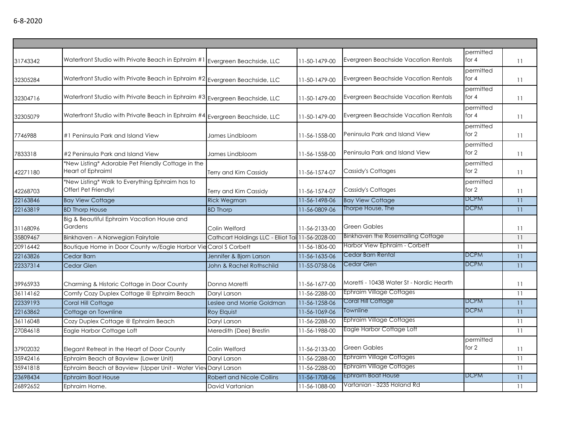| permitted<br>Waterfront Studio with Private Beach in Ephraim #1 Evergreen Beachside, LLC<br>Evergreen Beachside Vacation Rentals<br>for $4$<br>11-50-1479-00<br>11<br>permitted<br>Waterfront Studio with Private Beach in Ephraim #2 Evergreen Beachside, LLC<br>Evergreen Beachside Vacation Rentals<br>for $4$<br>11-50-1479-00<br>11<br>permitted<br>Waterfront Studio with Private Beach in Ephraim #3 Evergreen Beachside, LLC<br>Evergreen Beachside Vacation Rentals<br>for $4$<br>11-50-1479-00<br>11<br>permitted<br>Waterfront Studio with Private Beach in Ephraim #4 Evergreen Beachside, LLC<br>Evergreen Beachside Vacation Rentals<br>for $4$<br>11-50-1479-00<br>11<br>permitted<br>Peninsula Park and Island View<br>for 2<br>#1 Peninsula Park and Island View<br>James Lindbloom<br>11-56-1558-00<br>11<br>permitted<br>for 2<br>Peninsula Park and Island View<br>#2 Peninsula Park and Island View<br>James Lindbloom<br>11-56-1558-00<br>11<br>*New Listing* Adorable Pet Friendly Cottage in the<br>permitted<br>for 2<br>Heart of Ephraim!<br>Cassidy's Cottages<br>Terry and Kim Cassidy<br>11-56-1574-07<br>11<br>*New Listing* Walk to Everything Ephraim has to<br>permitted<br>for 2<br>Offer! Pet Friendly!<br>Cassidy's Cottages<br>11-56-1574-07<br>Terry and Kim Cassidy<br>11<br><b>DCPM</b><br><b>Bay View Cottage</b><br><b>Rick Wegman</b><br><b>Bay View Cottage</b><br>11<br>11-56-1498-06<br>Thorpe House, The<br><b>DCPM</b><br><b>BD Thorp House</b><br>11-56-0809-06<br>11<br><b>BD Thorp</b><br>Big & Beautiful Ephraim Vacation House and<br>Gardens<br><b>Green Gables</b><br>Colin Welford<br>11-56-2133-00<br>11<br><b>Binkhaven the Rosemailing Cottage</b><br>Binkhaven - A Norwegian Fairytale<br>Cathcart Holdings LLC - Elliot Tai 11-56-2028-00<br>11<br>Harbor View Ephraim - Corbett<br>Boutique Home in Door County w/Eagle Harbor Vie Carol S Corbett<br>11-56-1806-00<br>11<br>Cedar Barn Rental<br><b>DCPM</b><br>11-56-1635-06<br>11<br>Jennifer & Bjorn Larson<br>Cedar Barn<br><b>DCPM</b><br>Cedar Glen<br>11-55-0758-06<br>11<br>Cedar Glen<br>John & Rachel Rothschild<br>Moretti - 10438 Water St - Nordic Hearth<br>Charming & Historic Cottage in Door County<br>Donna Moretti<br>11-56-1677-00<br>11<br><b>Ephraim Village Cottages</b><br>Comfy Cozy Duplex Cottage @ Ephraim Beach<br>11-56-2288-00<br>Daryl Larson<br>11<br><b>DCPM</b><br>Coral Hill Cottage<br>11-56-1258-06<br>11<br>Coral Hill Cottage<br>Leslee and Morrie Goldman<br><b>DCPM</b><br><b>Townline</b><br>11<br>Cottage on Townline<br>11-56-1069-06<br><b>Roy Elquist</b><br><b>Ephraim Village Cottages</b><br>Cozy Duplex Cottage @ Ephraim Beach<br>11-56-2288-00<br>11<br>Daryl Larson<br>Eagle Harbor Cottage Loft<br>11-56-1988-00<br>Eagle Harbor Cottage Loft<br>Meredith (Dee) Brestin<br>11<br>permitted<br><b>Green Gables</b><br>for 2<br>Colin Welford<br>Elegant Retreat in the Heart of Door County<br>11-56-2133-00<br>11<br><b>Ephraim Village Cottages</b><br>Ephraim Beach at Bayview (Lower Unit)<br>Daryl Larson<br>11-56-2288-00<br>11<br><b>Ephraim Village Cottages</b><br>11-56-2288-00<br>Ephraim Beach at Bayview (Upper Unit - Water View Daryl Larson<br>11<br><b>Ephraim Boat House</b><br><b>DCPM</b><br>11-56-1708-06<br>11<br><b>Ephraim Boat House</b><br><b>Robert and Nicole Collins</b><br>Vartanian - 3235 Holand Rd<br>11-56-1088-00<br>Ephraim Home.<br>David Vartanian<br>11 |          |  |  |  |
|---------------------------------------------------------------------------------------------------------------------------------------------------------------------------------------------------------------------------------------------------------------------------------------------------------------------------------------------------------------------------------------------------------------------------------------------------------------------------------------------------------------------------------------------------------------------------------------------------------------------------------------------------------------------------------------------------------------------------------------------------------------------------------------------------------------------------------------------------------------------------------------------------------------------------------------------------------------------------------------------------------------------------------------------------------------------------------------------------------------------------------------------------------------------------------------------------------------------------------------------------------------------------------------------------------------------------------------------------------------------------------------------------------------------------------------------------------------------------------------------------------------------------------------------------------------------------------------------------------------------------------------------------------------------------------------------------------------------------------------------------------------------------------------------------------------------------------------------------------------------------------------------------------------------------------------------------------------------------------------------------------------------------------------------------------------------------------------------------------------------------------------------------------------------------------------------------------------------------------------------------------------------------------------------------------------------------------------------------------------------------------------------------------------------------------------------------------------------------------------------------------------------------------------------------------------------------------------------------------------------------------------------------------------------------------------------------------------------------------------------------------------------------------------------------------------------------------------------------------------------------------------------------------------------------------------------------------------------------------------------------------------------------------------------------------------------------------------------------------------------------------------------------------------------------------------------------------------------------------------------------------------------------------------------------------------------------------------------------------------------------------------------------------------------------------------------------------------------|----------|--|--|--|
|                                                                                                                                                                                                                                                                                                                                                                                                                                                                                                                                                                                                                                                                                                                                                                                                                                                                                                                                                                                                                                                                                                                                                                                                                                                                                                                                                                                                                                                                                                                                                                                                                                                                                                                                                                                                                                                                                                                                                                                                                                                                                                                                                                                                                                                                                                                                                                                                                                                                                                                                                                                                                                                                                                                                                                                                                                                                                                                                                                                                                                                                                                                                                                                                                                                                                                                                                                                                                                                                     | 31743342 |  |  |  |
|                                                                                                                                                                                                                                                                                                                                                                                                                                                                                                                                                                                                                                                                                                                                                                                                                                                                                                                                                                                                                                                                                                                                                                                                                                                                                                                                                                                                                                                                                                                                                                                                                                                                                                                                                                                                                                                                                                                                                                                                                                                                                                                                                                                                                                                                                                                                                                                                                                                                                                                                                                                                                                                                                                                                                                                                                                                                                                                                                                                                                                                                                                                                                                                                                                                                                                                                                                                                                                                                     | 32305284 |  |  |  |
|                                                                                                                                                                                                                                                                                                                                                                                                                                                                                                                                                                                                                                                                                                                                                                                                                                                                                                                                                                                                                                                                                                                                                                                                                                                                                                                                                                                                                                                                                                                                                                                                                                                                                                                                                                                                                                                                                                                                                                                                                                                                                                                                                                                                                                                                                                                                                                                                                                                                                                                                                                                                                                                                                                                                                                                                                                                                                                                                                                                                                                                                                                                                                                                                                                                                                                                                                                                                                                                                     | 32304716 |  |  |  |
|                                                                                                                                                                                                                                                                                                                                                                                                                                                                                                                                                                                                                                                                                                                                                                                                                                                                                                                                                                                                                                                                                                                                                                                                                                                                                                                                                                                                                                                                                                                                                                                                                                                                                                                                                                                                                                                                                                                                                                                                                                                                                                                                                                                                                                                                                                                                                                                                                                                                                                                                                                                                                                                                                                                                                                                                                                                                                                                                                                                                                                                                                                                                                                                                                                                                                                                                                                                                                                                                     | 32305079 |  |  |  |
|                                                                                                                                                                                                                                                                                                                                                                                                                                                                                                                                                                                                                                                                                                                                                                                                                                                                                                                                                                                                                                                                                                                                                                                                                                                                                                                                                                                                                                                                                                                                                                                                                                                                                                                                                                                                                                                                                                                                                                                                                                                                                                                                                                                                                                                                                                                                                                                                                                                                                                                                                                                                                                                                                                                                                                                                                                                                                                                                                                                                                                                                                                                                                                                                                                                                                                                                                                                                                                                                     | 7746988  |  |  |  |
|                                                                                                                                                                                                                                                                                                                                                                                                                                                                                                                                                                                                                                                                                                                                                                                                                                                                                                                                                                                                                                                                                                                                                                                                                                                                                                                                                                                                                                                                                                                                                                                                                                                                                                                                                                                                                                                                                                                                                                                                                                                                                                                                                                                                                                                                                                                                                                                                                                                                                                                                                                                                                                                                                                                                                                                                                                                                                                                                                                                                                                                                                                                                                                                                                                                                                                                                                                                                                                                                     | 7833318  |  |  |  |
|                                                                                                                                                                                                                                                                                                                                                                                                                                                                                                                                                                                                                                                                                                                                                                                                                                                                                                                                                                                                                                                                                                                                                                                                                                                                                                                                                                                                                                                                                                                                                                                                                                                                                                                                                                                                                                                                                                                                                                                                                                                                                                                                                                                                                                                                                                                                                                                                                                                                                                                                                                                                                                                                                                                                                                                                                                                                                                                                                                                                                                                                                                                                                                                                                                                                                                                                                                                                                                                                     | 42271180 |  |  |  |
|                                                                                                                                                                                                                                                                                                                                                                                                                                                                                                                                                                                                                                                                                                                                                                                                                                                                                                                                                                                                                                                                                                                                                                                                                                                                                                                                                                                                                                                                                                                                                                                                                                                                                                                                                                                                                                                                                                                                                                                                                                                                                                                                                                                                                                                                                                                                                                                                                                                                                                                                                                                                                                                                                                                                                                                                                                                                                                                                                                                                                                                                                                                                                                                                                                                                                                                                                                                                                                                                     | 42268703 |  |  |  |
|                                                                                                                                                                                                                                                                                                                                                                                                                                                                                                                                                                                                                                                                                                                                                                                                                                                                                                                                                                                                                                                                                                                                                                                                                                                                                                                                                                                                                                                                                                                                                                                                                                                                                                                                                                                                                                                                                                                                                                                                                                                                                                                                                                                                                                                                                                                                                                                                                                                                                                                                                                                                                                                                                                                                                                                                                                                                                                                                                                                                                                                                                                                                                                                                                                                                                                                                                                                                                                                                     | 22163846 |  |  |  |
|                                                                                                                                                                                                                                                                                                                                                                                                                                                                                                                                                                                                                                                                                                                                                                                                                                                                                                                                                                                                                                                                                                                                                                                                                                                                                                                                                                                                                                                                                                                                                                                                                                                                                                                                                                                                                                                                                                                                                                                                                                                                                                                                                                                                                                                                                                                                                                                                                                                                                                                                                                                                                                                                                                                                                                                                                                                                                                                                                                                                                                                                                                                                                                                                                                                                                                                                                                                                                                                                     | 22163819 |  |  |  |
|                                                                                                                                                                                                                                                                                                                                                                                                                                                                                                                                                                                                                                                                                                                                                                                                                                                                                                                                                                                                                                                                                                                                                                                                                                                                                                                                                                                                                                                                                                                                                                                                                                                                                                                                                                                                                                                                                                                                                                                                                                                                                                                                                                                                                                                                                                                                                                                                                                                                                                                                                                                                                                                                                                                                                                                                                                                                                                                                                                                                                                                                                                                                                                                                                                                                                                                                                                                                                                                                     | 31168096 |  |  |  |
|                                                                                                                                                                                                                                                                                                                                                                                                                                                                                                                                                                                                                                                                                                                                                                                                                                                                                                                                                                                                                                                                                                                                                                                                                                                                                                                                                                                                                                                                                                                                                                                                                                                                                                                                                                                                                                                                                                                                                                                                                                                                                                                                                                                                                                                                                                                                                                                                                                                                                                                                                                                                                                                                                                                                                                                                                                                                                                                                                                                                                                                                                                                                                                                                                                                                                                                                                                                                                                                                     | 35809467 |  |  |  |
|                                                                                                                                                                                                                                                                                                                                                                                                                                                                                                                                                                                                                                                                                                                                                                                                                                                                                                                                                                                                                                                                                                                                                                                                                                                                                                                                                                                                                                                                                                                                                                                                                                                                                                                                                                                                                                                                                                                                                                                                                                                                                                                                                                                                                                                                                                                                                                                                                                                                                                                                                                                                                                                                                                                                                                                                                                                                                                                                                                                                                                                                                                                                                                                                                                                                                                                                                                                                                                                                     | 20916442 |  |  |  |
|                                                                                                                                                                                                                                                                                                                                                                                                                                                                                                                                                                                                                                                                                                                                                                                                                                                                                                                                                                                                                                                                                                                                                                                                                                                                                                                                                                                                                                                                                                                                                                                                                                                                                                                                                                                                                                                                                                                                                                                                                                                                                                                                                                                                                                                                                                                                                                                                                                                                                                                                                                                                                                                                                                                                                                                                                                                                                                                                                                                                                                                                                                                                                                                                                                                                                                                                                                                                                                                                     | 22163826 |  |  |  |
|                                                                                                                                                                                                                                                                                                                                                                                                                                                                                                                                                                                                                                                                                                                                                                                                                                                                                                                                                                                                                                                                                                                                                                                                                                                                                                                                                                                                                                                                                                                                                                                                                                                                                                                                                                                                                                                                                                                                                                                                                                                                                                                                                                                                                                                                                                                                                                                                                                                                                                                                                                                                                                                                                                                                                                                                                                                                                                                                                                                                                                                                                                                                                                                                                                                                                                                                                                                                                                                                     | 22337314 |  |  |  |
|                                                                                                                                                                                                                                                                                                                                                                                                                                                                                                                                                                                                                                                                                                                                                                                                                                                                                                                                                                                                                                                                                                                                                                                                                                                                                                                                                                                                                                                                                                                                                                                                                                                                                                                                                                                                                                                                                                                                                                                                                                                                                                                                                                                                                                                                                                                                                                                                                                                                                                                                                                                                                                                                                                                                                                                                                                                                                                                                                                                                                                                                                                                                                                                                                                                                                                                                                                                                                                                                     | 39965933 |  |  |  |
|                                                                                                                                                                                                                                                                                                                                                                                                                                                                                                                                                                                                                                                                                                                                                                                                                                                                                                                                                                                                                                                                                                                                                                                                                                                                                                                                                                                                                                                                                                                                                                                                                                                                                                                                                                                                                                                                                                                                                                                                                                                                                                                                                                                                                                                                                                                                                                                                                                                                                                                                                                                                                                                                                                                                                                                                                                                                                                                                                                                                                                                                                                                                                                                                                                                                                                                                                                                                                                                                     | 36114162 |  |  |  |
|                                                                                                                                                                                                                                                                                                                                                                                                                                                                                                                                                                                                                                                                                                                                                                                                                                                                                                                                                                                                                                                                                                                                                                                                                                                                                                                                                                                                                                                                                                                                                                                                                                                                                                                                                                                                                                                                                                                                                                                                                                                                                                                                                                                                                                                                                                                                                                                                                                                                                                                                                                                                                                                                                                                                                                                                                                                                                                                                                                                                                                                                                                                                                                                                                                                                                                                                                                                                                                                                     | 22339193 |  |  |  |
|                                                                                                                                                                                                                                                                                                                                                                                                                                                                                                                                                                                                                                                                                                                                                                                                                                                                                                                                                                                                                                                                                                                                                                                                                                                                                                                                                                                                                                                                                                                                                                                                                                                                                                                                                                                                                                                                                                                                                                                                                                                                                                                                                                                                                                                                                                                                                                                                                                                                                                                                                                                                                                                                                                                                                                                                                                                                                                                                                                                                                                                                                                                                                                                                                                                                                                                                                                                                                                                                     | 22163862 |  |  |  |
|                                                                                                                                                                                                                                                                                                                                                                                                                                                                                                                                                                                                                                                                                                                                                                                                                                                                                                                                                                                                                                                                                                                                                                                                                                                                                                                                                                                                                                                                                                                                                                                                                                                                                                                                                                                                                                                                                                                                                                                                                                                                                                                                                                                                                                                                                                                                                                                                                                                                                                                                                                                                                                                                                                                                                                                                                                                                                                                                                                                                                                                                                                                                                                                                                                                                                                                                                                                                                                                                     | 36116048 |  |  |  |
|                                                                                                                                                                                                                                                                                                                                                                                                                                                                                                                                                                                                                                                                                                                                                                                                                                                                                                                                                                                                                                                                                                                                                                                                                                                                                                                                                                                                                                                                                                                                                                                                                                                                                                                                                                                                                                                                                                                                                                                                                                                                                                                                                                                                                                                                                                                                                                                                                                                                                                                                                                                                                                                                                                                                                                                                                                                                                                                                                                                                                                                                                                                                                                                                                                                                                                                                                                                                                                                                     | 27084618 |  |  |  |
|                                                                                                                                                                                                                                                                                                                                                                                                                                                                                                                                                                                                                                                                                                                                                                                                                                                                                                                                                                                                                                                                                                                                                                                                                                                                                                                                                                                                                                                                                                                                                                                                                                                                                                                                                                                                                                                                                                                                                                                                                                                                                                                                                                                                                                                                                                                                                                                                                                                                                                                                                                                                                                                                                                                                                                                                                                                                                                                                                                                                                                                                                                                                                                                                                                                                                                                                                                                                                                                                     | 37902032 |  |  |  |
|                                                                                                                                                                                                                                                                                                                                                                                                                                                                                                                                                                                                                                                                                                                                                                                                                                                                                                                                                                                                                                                                                                                                                                                                                                                                                                                                                                                                                                                                                                                                                                                                                                                                                                                                                                                                                                                                                                                                                                                                                                                                                                                                                                                                                                                                                                                                                                                                                                                                                                                                                                                                                                                                                                                                                                                                                                                                                                                                                                                                                                                                                                                                                                                                                                                                                                                                                                                                                                                                     | 35942416 |  |  |  |
|                                                                                                                                                                                                                                                                                                                                                                                                                                                                                                                                                                                                                                                                                                                                                                                                                                                                                                                                                                                                                                                                                                                                                                                                                                                                                                                                                                                                                                                                                                                                                                                                                                                                                                                                                                                                                                                                                                                                                                                                                                                                                                                                                                                                                                                                                                                                                                                                                                                                                                                                                                                                                                                                                                                                                                                                                                                                                                                                                                                                                                                                                                                                                                                                                                                                                                                                                                                                                                                                     | 35941818 |  |  |  |
|                                                                                                                                                                                                                                                                                                                                                                                                                                                                                                                                                                                                                                                                                                                                                                                                                                                                                                                                                                                                                                                                                                                                                                                                                                                                                                                                                                                                                                                                                                                                                                                                                                                                                                                                                                                                                                                                                                                                                                                                                                                                                                                                                                                                                                                                                                                                                                                                                                                                                                                                                                                                                                                                                                                                                                                                                                                                                                                                                                                                                                                                                                                                                                                                                                                                                                                                                                                                                                                                     | 23698434 |  |  |  |
|                                                                                                                                                                                                                                                                                                                                                                                                                                                                                                                                                                                                                                                                                                                                                                                                                                                                                                                                                                                                                                                                                                                                                                                                                                                                                                                                                                                                                                                                                                                                                                                                                                                                                                                                                                                                                                                                                                                                                                                                                                                                                                                                                                                                                                                                                                                                                                                                                                                                                                                                                                                                                                                                                                                                                                                                                                                                                                                                                                                                                                                                                                                                                                                                                                                                                                                                                                                                                                                                     | 26892652 |  |  |  |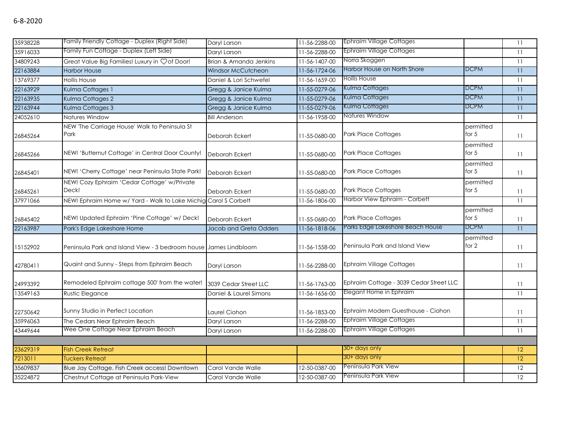| 35938228 | Family Friendly Cottage - Duplex (Right Side)                    | Daryl Larson           | 11-56-2288-00 | <b>Ephraim Village Cottages</b>         |                      | 11              |
|----------|------------------------------------------------------------------|------------------------|---------------|-----------------------------------------|----------------------|-----------------|
| 35916033 | Family Fun Cottage - Duplex (Left Side)                          | Daryl Larson           | 11-56-2288-00 | <b>Ephraim Village Cottages</b>         |                      | 11              |
| 34809243 | Great Value Big Families! Luxury in Çof Door!                    | Brian & Amanda Jenkins | 11-56-1407-00 | Norra Skoggen                           |                      | $\overline{11}$ |
| 22163884 | <b>Harbor House</b>                                              | Windsor McCutcheon     | 11-56-1724-06 | Harbor House on North Shore             | <b>DCPM</b>          | 11              |
| 13769377 | <b>Hollis House</b>                                              | Daniel & Lori Schwefel | 11-56-1659-00 | <b>Hollis House</b>                     |                      | 11              |
| 22163929 | Kulma Cottages 1                                                 | Gregg & Janice Kulma   | 11-55-0279-06 | Kulma Cottages                          | <b>DCPM</b>          | 11              |
| 22163935 | Kulma Cottages 2                                                 | Gregg & Janice Kulma   | 11-55-0279-06 | Kulma Cottages                          | <b>DCPM</b>          | 11              |
| 22163944 | Kulma Cottages 3                                                 | Gregg & Janice Kulma   | 11-55-0279-06 | Kulma Cottages                          | <b>DCPM</b>          | 11              |
| 24052610 | Natures Window                                                   | <b>Bill Anderson</b>   | 11-56-1958-00 | Natures Window                          |                      | 11              |
| 26845264 | NEW 'The Carriage House' Walk to Peninsula St<br>Park            | Deborah Eckert         | 11-55-0680-00 | <b>Park Place Cottages</b>              | permitted<br>for $5$ | 11              |
| 26845266 | NEW! 'Butternut Cottage' in Central Door County!                 | Deborah Eckert         | 11-55-0680-00 | <b>Park Place Cottages</b>              | permitted<br>for $5$ | 11              |
| 26845401 | NEW! 'Cherry Cottage' near Peninsula State Park!                 | Deborah Eckert         | 11-55-0680-00 | Park Place Cottages                     | permitted<br>for $5$ | 11              |
| 26845261 | NEW! Cozy Ephraim 'Cedar Cottage' w/Private<br>Deck!             | Deborah Eckert         | 11-55-0680-00 | <b>Park Place Cottages</b>              | permitted<br>for $5$ | 11              |
| 37971066 | NEW! Ephraim Home w/ Yard - Walk to Lake Michig Carol S Corbett  |                        | 11-56-1806-00 | Harbor View Ephraim - Corbett           |                      | 11              |
| 26845402 | NEW! Updated Ephraim 'Pine Cottage' w/ Deck!                     | Deborah Eckert         | 11-55-0680-00 | Park Place Cottages                     | permitted<br>for $5$ | 11              |
| 22163987 | Park's Edge Lakeshore Home                                       | Jacob and Greta Odders | 11-56-1818-06 | Parks Edge Lakeshore Beach House        | <b>DCPM</b>          | 11              |
| 15152902 | Peninsula Park and Island View - 3 bedroom house James Lindbloom |                        | 11-56-1558-00 | Peninsula Park and Island View          | permitted<br>for 2   | 11              |
| 42780411 | Quaint and Sunny - Steps from Ephraim Beach                      | Daryl Larson           | 11-56-2288-00 | <b>Ephraim Village Cottages</b>         |                      | 11              |
| 24993392 | Remodeled Ephraim cottage 500' from the water!                   | 3039 Cedar Street LLC  | 11-56-1763-00 | Ephraim Cottage - 3039 Cedar Street LLC |                      | 11              |
| 13549163 | Rustic Elegance                                                  | Daniel & Laurel Simons | 11-56-1656-00 | Elegant Home in Ephraim                 |                      | 11              |
| 22750642 | Sunny Studio in Perfect Location                                 | Laurel Ciohon          | 11-56-1853-00 | Ephraim Modern Guesthouse - Ciohon      |                      | 11              |
| 35996063 | The Cedars Near Ephraim Beach                                    | Daryl Larson           | 11-56-2288-00 | <b>Ephraim Village Cottages</b>         |                      | 11              |
| 43449644 | Wee One Cottage Near Ephraim Beach                               | Daryl Larson           | 11-56-2288-00 | <b>Ephraim Village Cottages</b>         |                      | 11              |
|          |                                                                  |                        |               |                                         |                      |                 |
| 23629319 | <b>Fish Creek Retreat</b>                                        |                        |               | 30+ days only                           |                      | 12              |
| 7213011  | <b>Tuckers Retreat</b>                                           |                        |               | 30+ days only                           |                      | 12              |
| 35609837 | Blue Jay Cottage. Fish Creek access! Downtown                    | Carol Vande Walle      | 12-50-0387-00 | Peninsula Park View                     |                      | 12              |
| 35224872 | Chestnut Cottage at Peninsula Park-View                          | Carol Vande Walle      | 12-50-0387-00 | Peninsula Park View                     |                      | 12              |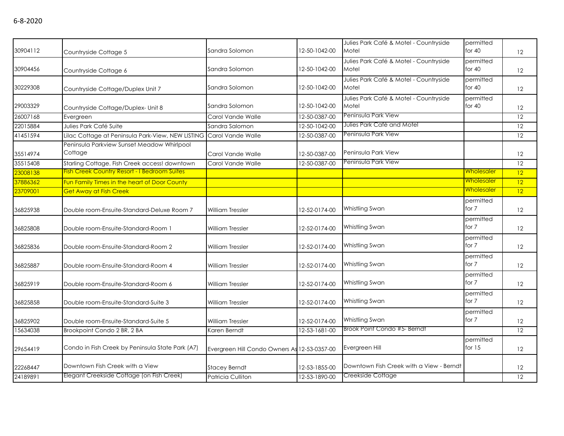| 30904112 | Countryside Cottage 5                                 | Sandra Solomon                               | 12-50-1042-00 | Julies Park Café & Motel - Countryside<br>Motel | permitted<br>for $40$ | 12 |
|----------|-------------------------------------------------------|----------------------------------------------|---------------|-------------------------------------------------|-----------------------|----|
| 30904456 | Countryside Cottage 6                                 | Sandra Solomon                               | 12-50-1042-00 | Julies Park Café & Motel - Countryside<br>Motel | permitted<br>for $40$ | 12 |
| 30229308 | Countryside Cottage/Duplex Unit 7                     | Sandra Solomon                               | 12-50-1042-00 | Julies Park Café & Motel - Countryside<br>Motel | permitted<br>for $40$ | 12 |
| 29003329 | Countryside Cottage/Duplex- Unit 8                    | Sandra Solomon                               | 12-50-1042-00 | Julies Park Café & Motel - Countryside<br>Motel | permitted<br>for $40$ | 12 |
| 26007168 | Evergreen                                             | Carol Vande Walle                            | 12-50-0387-00 | Peninsula Park View                             |                       | 12 |
| 22015884 | Julies Park Café Suite                                | Sandra Salomon                               | 12-50-1042-00 | Julies Park Café and Motel                      |                       | 12 |
| 41451594 | Lilac Cottage at Peninsula Park-View, NEW LISTING     | Carol Vande Walle                            | 12-50-0387-00 | Peninsula Park View                             |                       | 12 |
| 35514974 | Peninsula Parkview Sunset Meadow Whirlpool<br>Cottage | Carol Vande Walle                            | 12-50-0387-00 | Peninsula Park View                             |                       | 12 |
| 35515408 | Starling Cottage. Fish Creek access! downtown         | Carol Vande Walle                            | 12-50-0387-00 | Peninsula Park View                             |                       | 12 |
| 23008138 | <b>Fish Creek Country Resort - I Bedroom Suites</b>   |                                              |               |                                                 | <b>Wholesaler</b>     | 12 |
| 37886362 | Fun Family Times in the heart of Door County          |                                              |               |                                                 | Wholesaler            | 12 |
| 23709001 | <b>Get Away at Fish Creek</b>                         |                                              |               |                                                 | Wholesaler            | 12 |
| 36825938 | Double room-Ensuite-Standard-Deluxe Room 7            | <b>William Tressler</b>                      | 12-52-0174-00 | Whistling Swan                                  | permitted<br>for 7    | 12 |
| 36825808 | Double room-Ensuite-Standard-Room 1                   | <b>William Tressler</b>                      | 12-52-0174-00 | Whistling Swan                                  | permitted<br>for 7    | 12 |
| 36825836 | Double room-Ensuite-Standard-Room 2                   | <b>William Tressler</b>                      | 12-52-0174-00 | Whistling Swan                                  | permitted<br>for 7    | 12 |
| 36825887 | Double room-Ensuite-Standard-Room 4                   | <b>William Tressler</b>                      | 12-52-0174-00 | Whistling Swan                                  | permitted<br>for 7    | 12 |
| 36825919 | Double room-Ensuite-Standard-Room 6                   | <b>William Tressler</b>                      | 12-52-0174-00 | Whistling Swan                                  | permitted<br>for 7    | 12 |
| 36825858 | Double room-Ensuite-Standard-Suite 3                  | William Tressler                             | 12-52-0174-00 | Whistling Swan                                  | permitted<br>for 7    | 12 |
| 36825902 | Double room-Ensuite-Standard-Suite 5                  | <b>William Tressler</b>                      | 12-52-0174-00 | Whistling Swan                                  | permitted<br>for 7    | 12 |
| 15634038 | Brookpoint Condo 2 BR, 2 BA                           | Karen Berndt                                 | 12-53-1681-00 | Brook Point Condo #5- Berndt                    |                       | 12 |
| 29654419 | Condo in Fish Creek by Peninsula State Park (A7)      | Evergreen Hill Condo Owners As 12-53-0357-00 |               | Evergreen Hill                                  | permitted<br>for $15$ | 12 |

22268447 Downtown Fish Creek with a View Stacey Berndt 12-53-1855-00 Downtown Fish Creek with a View - Berndt 12 24189891 Elegant Creekside Cottage (on Fish Creek) Patricia Culliton 12-53-1890-00 Creekside Cottage 12-12-12

29654419 Condo in Fish Creek by Peninsula State Park (A7) Evergreen Hill Condo Owners As 12-53-0357-00 Evergreen Hill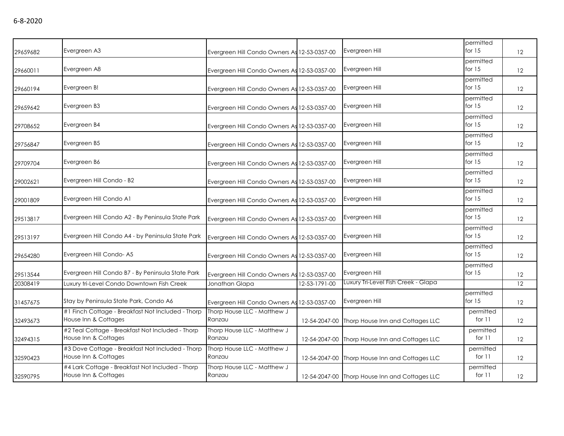| 29659682 | Evergreen A3                                                              | Evergreen Hill Condo Owners As 12-53-0357-00 |               | Evergreen Hill                                 | permitted<br>for $15$ | $12 \overline{ }$ |
|----------|---------------------------------------------------------------------------|----------------------------------------------|---------------|------------------------------------------------|-----------------------|-------------------|
| 29660011 | Evergreen A8                                                              | Evergreen Hill Condo Owners As 12-53-0357-00 |               | Evergreen Hill                                 | permitted<br>for $15$ | $12 \overline{ }$ |
| 29660194 | Evergreen B!                                                              | Evergreen Hill Condo Owners As 12-53-0357-00 |               | Evergreen Hill                                 | permitted<br>for $15$ | 12                |
| 29659642 | Evergreen B3                                                              | Evergreen Hill Condo Owners As 12-53-0357-00 |               | Evergreen Hill                                 | permitted<br>for 15   | 12                |
| 29708652 | Evergreen B4                                                              | Evergreen Hill Condo Owners As 12-53-0357-00 |               | Evergreen Hill                                 | permitted<br>for $15$ | 12                |
| 29756847 | Evergreen B5                                                              | Evergreen Hill Condo Owners As 12-53-0357-00 |               | Evergreen Hill                                 | permitted<br>for $15$ | 12                |
| 29709704 | Evergreen B6                                                              | Evergreen Hill Condo Owners As 12-53-0357-00 |               | Evergreen Hill                                 | permitted<br>for $15$ | 12                |
| 29002621 | Evergreen Hill Condo - B2                                                 | Evergreen Hill Condo Owners As 12-53-0357-00 |               | Evergreen Hill                                 | permitted<br>for $15$ | 12                |
| 29001809 | Evergreen Hill Condo A1                                                   | Evergreen Hill Condo Owners As 12-53-0357-00 |               | Evergreen Hill                                 | permitted<br>for $15$ | 12                |
| 29513817 | Evergreen Hill Condo A2 - By Peninsula State Park                         | Evergreen Hill Condo Owners As 12-53-0357-00 |               | Evergreen Hill                                 | permitted<br>for $15$ | 12                |
| 29513197 | Evergreen Hill Condo A4 - by Peninsula State Park                         | Evergreen Hill Condo Owners As 12-53-0357-00 |               | Evergreen Hill                                 | permitted<br>for $15$ | 12                |
| 29654280 | Evergreen Hill Condo-A5                                                   | Evergreen Hill Condo Owners As 12-53-0357-00 |               | Evergreen Hill                                 | permitted<br>for $15$ | 12                |
| 29513544 | Evergreen Hill Condo B7 - By Peninsula State Park                         | Evergreen Hill Condo Owners As 12-53-0357-00 |               | Evergreen Hill                                 | permitted<br>for $15$ | 12                |
| 20308419 | Luxury tri-Level Condo Downtown Fish Creek                                | Jonathan Glapa                               | 12-53-1791-00 | Luxury Tri-Level Fish Creek - Glapa            |                       | 12                |
| 31457675 | Stay by Peninsula State Park, Condo A6                                    | Evergreen Hill Condo Owners As 12-53-0357-00 |               | Evergreen Hill                                 | permitted<br>for $15$ | 12                |
| 32493673 | #1 Finch Cottage - Breakfast Not Included - Thorp<br>House Inn & Cottages | Thorp House LLC - Matthew J<br>Ranzau        | 12-54-2047-00 | Thorp House Inn and Cottages LLC               | permitted<br>for $11$ | 12                |
| 32494315 | #2 Teal Cottage - Breakfast Not Included - Thorp<br>House Inn & Cottages  | Thorp House LLC - Matthew J<br>Ranzau        | 12-54-2047-00 | Thorp House Inn and Cottages LLC               | permitted<br>for $11$ | 12                |
| 32590423 | #3 Dove Cottage - Breakfast Not Included - Thorp<br>House Inn & Cottages  | Thorp House LLC - Matthew J<br>Ranzau        | 12-54-2047-00 | Thorp House Inn and Cottages LLC               | permitted<br>for $11$ | 12                |
| 32590795 | #4 Lark Cottage - Breakfast Not Included - Thorp<br>House Inn & Cottages  | Thorp House LLC - Matthew J<br>Ranzau        |               | 12-54-2047-00 Thorp House Inn and Cottages LLC | permitted<br>for $11$ | 12                |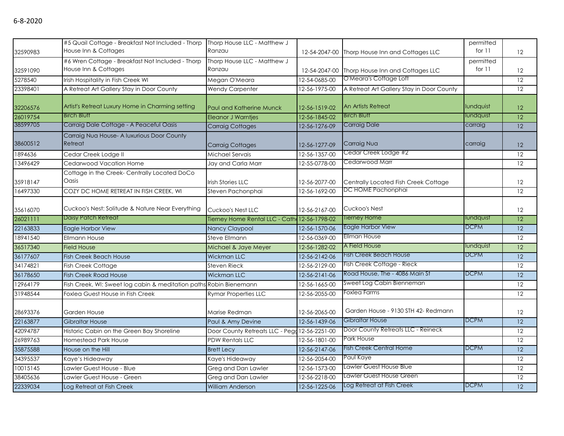| 32590983 | #5 Quail Cottage - Breakfast Not Included - Thorp<br>House Inn & Cottages | Thorp House LLC - Matthew J<br>Ranzau         | 12-54-2047-00 | Thorp House Inn and Cottages LLC          | permitted<br>for $11$ | 12              |
|----------|---------------------------------------------------------------------------|-----------------------------------------------|---------------|-------------------------------------------|-----------------------|-----------------|
| 32591090 | #6 Wren Cottage - Breakfast Not Included - Thorp<br>House Inn & Cottages  | Thorp House LLC - Matthew J<br>Ranzau         | 12-54-2047-00 | Thorp House Inn and Cottages LLC          | permitted<br>for 11   | 12              |
| 5278540  | Irish Hospitality in Fish Creek WI                                        | Megan O'Meara                                 | 12-54-0685-00 | O'Meara's Cottage Loft                    |                       | 12              |
| 23398401 | A Retreat Art Gallery Stay in Door County                                 | <b>Wendy Carpenter</b>                        | 12-56-1975-00 | A Retreat Art Gallery Stay in Door County |                       | 12              |
|          |                                                                           |                                               |               |                                           |                       |                 |
| 32206576 | Artist's Retreat Luxury Home in Charming setting                          | <b>Paul and Katherine Munck</b>               | 12-56-1519-02 | An Artists Retreat                        | lundquist             | 12 <sup>°</sup> |
| 26019754 | <b>Birch Bluff</b>                                                        | <b>Eleanor J Warntjes</b>                     | 12-56-1845-02 | <b>Birch Bluff</b>                        | lundquist             | $\overline{12}$ |
| 38599705 | Carraig Dale Cottage - A Peaceful Oasis                                   | <b>Carraig Cottages</b>                       | 12-56-1276-09 | <b>Carraig Dale</b>                       | carraig               | $\overline{12}$ |
| 38600512 | Carraig Nua House- A luxurious Door County<br>Retreat                     | Carraig Cottages                              | 12-56-1277-09 | Carraig Nua                               | carraig               | 12              |
| 1894636  | Cedar Creek Lodge II                                                      | Michael Servais                               | 12-56-1357-00 | Cedar Creek Lodge #2                      |                       | 12              |
| 13496429 | Cedarwood Vacation Home                                                   | Jay and Carla Marr                            | 12-55-0778-00 | Cedarwood Marr                            |                       | $\overline{12}$ |
| 35918147 | Cottage in the Creek- Centrally Located DoCo<br>Oasis                     | <b>Irish Stories LLC</b>                      | 12-56-2077-00 | Centrally Located Fish Creek Cottage      |                       | 12              |
| 16497330 | COZY DC HOME RETREAT IN FISH CREEK, WI                                    | Steven Pachonphai                             | 12-56-1692-00 | DC HOME Pachonphai                        |                       | 12              |
| 35616070 | Cuckoo's Nest: Solitude & Nature Near Everything                          | Cuckoo's Nest LLC                             | 12-56-2167-00 | Cuckoo's Nest                             |                       | 12              |
| 26021111 | Daisy Patch Retreat                                                       | Tierney Home Rental LLC - Cath 12-56-1798-02  |               | Tierney Home                              | lundquist             | $\overline{12}$ |
| 22163833 | Eagle Harbor View                                                         | Nancy Claypool                                | 12-56-1570-06 | Eagle Harbor View                         | <b>DCPM</b>           | 12              |
| 18941540 | <b>Ellmann House</b>                                                      | Steve Ellmann                                 | 12-56-0369-00 | Ellman House                              |                       | $\overline{12}$ |
| 36517340 | <b>Field House</b>                                                        | Michael & Jaye Meyer                          | 12-56-1282-02 | A Field House                             | lundquist             | $\overline{12}$ |
| 36177607 | <b>Fish Creek Beach House</b>                                             | <b>Wickman LLC</b>                            | 12-56-2142-06 | <b>Fish Creek Beach House</b>             | <b>DCPM</b>           | 12              |
| 34174821 | Fish Creek Cottage                                                        | Steven Rieck                                  | 12-56-2129-00 | Fish Creek Cottage - Rieck                |                       | 12              |
| 36178650 | <b>Fish Creek Road House</b>                                              | <b>Wickman LLC</b>                            | 12-56-2141-06 | Road House, The - 4086 Main St            | <b>DCPM</b>           | 12              |
| 12964179 | Fish Creek, WI: Sweet log cabin & meditation paths Robin Bienemann        |                                               | 12-56-1665-00 | Sweet Log Cabin Bienneman                 |                       | 12              |
| 31948544 | Foxlea Guest House in Fish Creek                                          | <b>Rymar Properties LLC</b>                   | 12-56-2055-00 | Foxlea Farms                              |                       | 12              |
| 28693376 | Garden House                                                              | Marise Redman                                 | 12-56-2065-00 | Garden House - 9130 STH 42- Redmann       |                       | 12              |
| 22163877 | <b>Gibraltar House</b>                                                    | Paul & Amy Devine                             | 12-56-1439-06 | Gibraltar House                           | <b>DCPM</b>           | 12              |
| 42094787 | Historic Cabin on the Green Bay Shoreline                                 | Door County Retreats LLC - Pegg 12-56-2251-00 |               | Door County Retreats LLC - Reineck        |                       | 12              |
| 26989763 | Homestead Park House                                                      | <b>PDW Rentals LLC</b>                        | 12-56-1801-00 | Park House                                |                       | 12              |
| 35875588 | House on the Hill                                                         | <b>Brett Lecy</b>                             | 12-56-2147-06 | <b>Fish Creek Central Home</b>            | <b>DCPM</b>           | $\overline{12}$ |
| 34395537 | Kaye's Hideaway                                                           | Kaye's Hideaway                               | 12-56-2054-00 | Paul Kaye                                 |                       | $\overline{12}$ |
| 10015145 | Lawler Guest House - Blue                                                 | Greg and Dan Lawler                           | 12-56-1573-00 | Lawler Guest House Blue                   |                       | $\overline{12}$ |
| 38405636 | Lawler Guest House - Green                                                | Greg and Dan Lawler                           | 12-56-2218-00 | Lawler Guest House Green                  |                       | $\overline{12}$ |
| 22339034 | Log Retreat at Fish Creek                                                 | <b>William Anderson</b>                       | 12-56-1225-06 | Log Retreat at Fish Creek                 | <b>DCPM</b>           | $\overline{12}$ |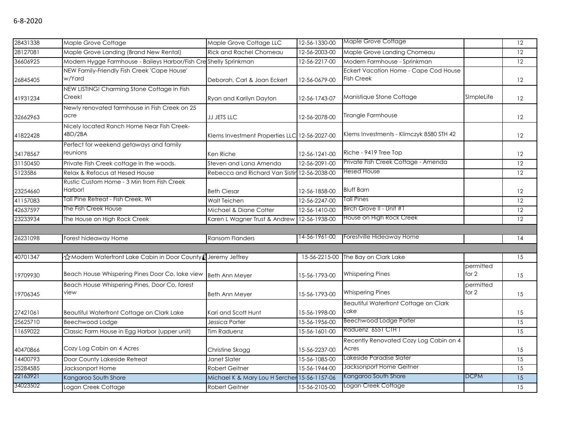| 28431338 | Maple Grove Cottage                                              | Maple Grove Cottage LLC                       | 12-56-1330-00 | Maple Grove Cottage                                        |                      | 12              |
|----------|------------------------------------------------------------------|-----------------------------------------------|---------------|------------------------------------------------------------|----------------------|-----------------|
| 28127081 | Maple Grove Landing (Brand New Rental)                           | <b>Rick and Rachel Chomeau</b>                | 12-56-2003-00 | Maple Grove Landing Chomeau                                |                      | 12              |
| 36606925 | Modern Hygge Farmhouse - Baileys Harbor/Fish Creshelly Sprinkman |                                               | 12-56-2217-00 | Modern Farmhouse - Sprinkman                               |                      | $\overline{12}$ |
| 26845405 | NEW Family-Friendly Fish Creek 'Cape House'<br>w/Yard            | Deborah, Carl & Joan Eckert                   | 12-56-0679-00 | Eckert Vacation Home - Cape Cod House<br><b>Fish Creek</b> |                      | 12              |
| 41931234 | NEW LISTING! Charming Stone Cottage in Fish<br>Creek!            | Ryan and Karilyn Dayton                       | 12-56-1743-07 | Manistique Stone Cottage                                   | SImpleLife           | 12              |
| 32662963 | Newly renovated farmhouse in Fish Creek on 25<br>acre            | JJ JETS LLC                                   | 12-56-2078-00 | Tirangle Farmhouse                                         |                      | 12              |
| 41822428 | Nicely located Ranch Home Near Fish Creek-<br>4BD/2BA            | Klems Investment Properties LLC 12-56-2027-00 |               | Klems Investments - Klimczyk 8580 STH 42                   |                      | 12              |
| 34178567 | Perfect for weekend getaways and family<br>reunions              | Ken Riche                                     | 12-56-1241-00 | Riche - 9419 Tree Top                                      |                      | 12              |
| 31150450 | Private Fish Creek cottage in the woods.                         | Steven and Lana Amenda                        | 12-56-2091-00 | Private Fish Creek Cottage - Amenda                        |                      | 12              |
| 5123586  | Relax & Refocus at Hesed House                                   | Rebecca and Richard Van Sistin 12-56-2038-00  |               | <b>Hesed House</b>                                         |                      | 12              |
| 23254660 | Rustic Custom Home - 3 Min from Fish Creek<br>Harbor!            | <b>Beth Ciesar</b>                            | 12-56-1858-00 | <b>Bluff Barn</b>                                          |                      | 12              |
| 41157083 | Tall Pine Retreat - Fish Creek, WI                               | Walt Teichen                                  | 12-56-2247-00 | <b>Tall Pines</b>                                          |                      | 12              |
| 42637597 | The Fish Creek House                                             | Michael & Diane Cotter                        | 12-56-1410-00 | Birch Grove II - Unit #1                                   |                      | 12              |
| 23233934 | The House on High Rock Creek                                     | Karen L Wagner Trust & Andrew                 | 12-56-1938-00 | House on High Rock Creek                                   |                      | 12              |
|          |                                                                  |                                               |               |                                                            |                      |                 |
| 26231098 | Forest hideaway Home                                             | Ransom Flanders                               | 14-56-1961-00 | Forestville Hideaway Home                                  |                      | 14              |
|          |                                                                  |                                               |               |                                                            |                      |                 |
| 40701347 | ☆Modern Waterfront Lake Cabin in Door County (Jeremy Jeffrey     |                                               | 15-56-2215-00 | The Bay on Clark Lake                                      |                      | 15              |
| 19709930 | Beach House Whispering Pines Door Co, lake view                  | <b>Beth Ann Meyer</b>                         | 15-56-1793-00 | <b>Whispering Pines</b>                                    | permitted<br>for $2$ | 15              |
| 19706345 | Beach House Whispering Pines, Door Co, forest<br>view            | Beth Ann Meyer                                | 15-56-1793-00 | <b>Whispering Pines</b>                                    | permitted<br>for 2   | 15              |
| 27421061 | Beautiful Waterfront Cottage on Clark Lake                       | Kari and Scott Hunt                           | 15-56-1998-00 | Beautiful Waterfront Cottage on Clark<br>Lake              |                      | 15              |
| 25625710 | Beechwood Lodge                                                  | Jessica Porter                                | 15-56-1956-00 | <b>Beechwood Lodge Porter</b>                              |                      | 15              |
| 11659022 | Classic Farm House in Egg Harbor (upper unit)                    | <b>Tim Raduenz</b>                            | 15-56-1601-00 | Raduenz 6551 CTH T                                         |                      | $\overline{15}$ |
| 40470866 | Cozy Log Cabin on 4 Acres                                        | Christine Skogg                               | 15-56-2237-00 | Recently Renovated Cozy Log Cabin on 4<br>Acres            |                      | 15              |
| 14400793 | Door County Lakeside Retreat                                     | Janet Slater                                  | 15-56-1085-00 | Lakeside Paradise Slater                                   |                      | 15              |
| 25284585 | Jacksonport Home                                                 | <b>Robert Geitner</b>                         | 15-56-1944-00 | Jacksonport Home Geitner                                   |                      | 15              |
| 22163921 | Kangaroo South Shore                                             | Michael K & Mary Lou H Sercher 15-56-1157-06  |               | Kangaroo South Shore                                       | <b>DCPM</b>          | 15              |
| 34023502 | Logan Creek Cottage                                              | Robert Geitner                                | 15-56-2105-00 | Logan Creek Cottage                                        |                      | 15              |
|          |                                                                  |                                               |               |                                                            |                      |                 |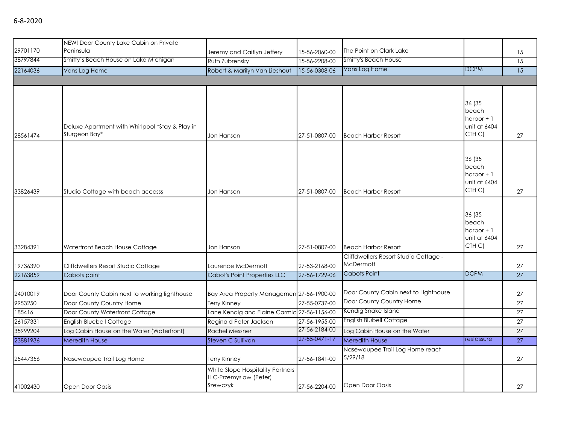| 29701170 | NEW! Door County Lake Cabin on Private<br>Peninsula              | Jeremy and Caitlyn Jeffery                                             | 15-56-2060-00         | The Point on Clark Lake                    |                                                                      | 15              |
|----------|------------------------------------------------------------------|------------------------------------------------------------------------|-----------------------|--------------------------------------------|----------------------------------------------------------------------|-----------------|
| 38797844 | Smitty's Beach House on Lake Michigan                            | Ruth Zubrensky                                                         | 15-56-2208-00         | Smitty's Beach House                       |                                                                      | 15              |
| 22164036 | Vans Log Home                                                    | Robert & Marilyn Van Lieshout                                          | 15-56-0308-06         | Vans Log Home                              | <b>DCPM</b>                                                          | $\overline{15}$ |
|          |                                                                  |                                                                        |                       |                                            |                                                                      |                 |
|          |                                                                  |                                                                        |                       |                                            |                                                                      |                 |
| 28561474 | Deluxe Apartment with Whirlpool *Stay & Play in<br>Sturgeon Bay* | Jon Hanson                                                             | 27-51-0807-00         | <b>Beach Harbor Resort</b>                 | 36 (35<br>beach<br>harbor $+1$<br>unit at 6404<br>CTH C)             | 27              |
| 33826439 | Studio Cottage with beach accesss                                | Jon Hanson                                                             | 27-51-0807-00         | <b>Beach Harbor Resort</b>                 | 36 (35<br>beach<br>harbor $+1$<br>unit at 6404<br>CTH C)             | 27              |
|          |                                                                  |                                                                        |                       |                                            |                                                                      |                 |
| 33284391 | Waterfront Beach House Cottage                                   | Jon Hanson                                                             | 27-51-0807-00         | <b>Beach Harbor Resort</b>                 | 36 (35<br>beach<br>harbor $+1$<br>unit at 6404<br>CTH <sub>C</sub> ) | 27              |
|          |                                                                  |                                                                        |                       | Cliffdwellers Resort Studio Cottage -      |                                                                      |                 |
| 19736390 | Cliffdwellers Resort Studio Cottage                              | Laurence McDermott                                                     | 27-53-2168-00         | McDermott                                  |                                                                      | 27              |
| 22163859 | Cabots point                                                     | Cabot's Point Properties LLC                                           | 27-56-1729-06         | Cabots Point                               | <b>DCPM</b>                                                          | 27              |
| 24010019 | Door County Cabin next to working lighthouse                     | Bay Area Property Managemen 27-56-1900-00                              |                       | Door County Cabin next to Lighthouse       |                                                                      | 27              |
| 9953250  | Door County Country Home                                         | <b>Terry Kinney</b>                                                    | 27-55-0737-00         | Door County Country Home                   |                                                                      | 27              |
| 185416   | Door County Waterfront Cottage                                   | Lane Kendig and Elaine Carmic 27-56-1156-00                            |                       | Kendig Snake Island                        |                                                                      | 27              |
| 26157331 | <b>English Bluebell Cottage</b>                                  | Reginald Peter Jackson                                                 | 27-56-1955-00         | <b>English Blubell Cottage</b>             |                                                                      | 27              |
| 35999204 | Log Cabin House on the Water (Waterfront)                        | <b>Rachel Messner</b>                                                  | 27-56-2184-00         | Log Cabin House on the Water               |                                                                      | 27              |
| 23881936 | Meredith House                                                   | Steven C Sullivan                                                      | $27 - 55 - 0471 - 17$ | Meredith House                             | restassure                                                           | 27              |
| 25447356 | Nasewaupee Trail Log Home                                        | Terry Kinney                                                           | 27-56-1841-00         | Nasewaupee Trail Log Home react<br>5/29/18 |                                                                      | 27              |
| 41002430 | Open Door Oasis                                                  | White Slope Hospitality Partners<br>LLC-Przemyslaw (Peter)<br>Szewczyk | 27-56-2204-00         | Open Door Oasis                            |                                                                      | 27              |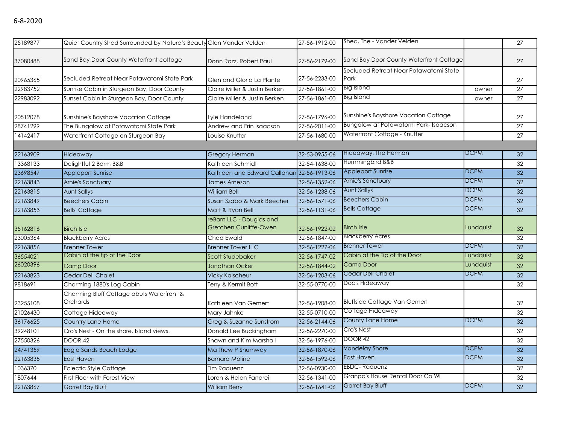## 6-8-2020

| 25189877 | Quiet Country Shed Surrounded by Nature's Beauty Glen Vander Velden |                                                    | 27-56-1912-00 | Shed, The - Vander Velden                      |             | 27              |
|----------|---------------------------------------------------------------------|----------------------------------------------------|---------------|------------------------------------------------|-------------|-----------------|
| 37080488 | Sand Bay Door County Waterfront cottage                             | Donn Rozz, Robert Paul                             | 27-56-2179-00 | Sand Bay Door County Waterfront Cottage        |             | 27              |
| 20965365 | Secluded Retreat Near Potawatomi State Park                         | Glen and Gloria La Plante                          | 27-56-2233-00 | Secluded Retreat Near Potawatomi State<br>Park |             | 27              |
| 22983752 | Sunrise Cabin in Sturgeon Bay, Door County                          | Claire Miller & Justin Berken                      | 27-56-1861-00 | <b>Big Island</b>                              | owner       | 27              |
| 22983092 | Sunset Cabin in Sturgeon Bay, Door County                           | Claire Miller & Justin Berken                      | 27-56-1861-00 | <b>Big Island</b>                              | owner       | $\overline{27}$ |
| 20512078 | Sunshine's Bayshore Vacation Cottage                                | Lyle Handeland                                     | 27-56-1796-00 | Sunshine's Bayshore Vacation Cottage           |             | 27              |
| 28741299 | The Bungalow at Potawatomi State Park                               | Andrew and Erin Isaacson                           | 27-56-2011-00 | Bungalow at Potawatomi Park-Isaacson           |             | $\overline{27}$ |
| 14142417 | Waterfront Cottage on Sturgeon Bay                                  | Louise Knutter                                     | 27-56-1680-00 | Waterfront Cottage - Knutter                   |             | 27              |
|          |                                                                     |                                                    |               |                                                |             |                 |
| 22163909 | Hideaway                                                            | <b>Gregory Herman</b>                              | 32-53-0955-06 | Hideaway, The Herman                           | DCPM        | 32              |
| 13368133 | Delightful 2 Bdrm B&B                                               | Kathleen Schmidt                                   | 32-54-1638-00 | Hummingbird B&B                                |             | 32              |
| 23698547 | Appleport Sunrise                                                   | Kathleen and Edward Callahan 32-56-1913-06         |               | <b>Appleport Sunrise</b>                       | <b>DCPM</b> | 32              |
| 22163843 | Arnie's Sanctuary                                                   | James Arneson                                      | 32-56-1352-06 | Arnie's Sanctuary                              | <b>DCPM</b> | 32              |
| 22163815 | <b>Aunt Sallys</b>                                                  | <b>William Bell</b>                                | 32-56-1238-06 | <b>Aunt Sallys</b>                             | <b>DCPM</b> | 32              |
| 22163849 | <b>Beechers Cabin</b>                                               | Susan Szabo & Mark Beecher                         | 32-56-1571-06 | <b>Beechers Cabin</b>                          | <b>DCPM</b> | 32              |
| 22163853 | <b>Bells' Cottage</b>                                               | Matt & Ryan Bell                                   | 32-56-1131-06 | <b>Bells Cottage</b>                           | <b>DCPM</b> | 32              |
| 35162816 | <b>Birch Isle</b>                                                   | reBarn LLC - Douglas and<br>Gretchen Cunliffe-Owen | 32-56-1922-02 | <b>Birch Isle</b>                              | Lundquist   | 32              |
| 23005364 | <b>Blackberry Acres</b>                                             | Chad Ewald                                         | 32-56-1847-00 | <b>Blackberry Acres</b>                        |             | 32              |
| 22163856 | <b>Brenner Tower</b>                                                | <b>Brenner Tower LLC</b>                           | 32-56-1227-06 | <b>Brenner Tower</b>                           | <b>DCPM</b> | 32              |
| 36554021 | Cabin at the tip of the Door                                        | Scott Studebaker                                   | 32-56-1747-02 | Cabin at the Tip of the Door                   | Lundquist   | 32              |
| 26020396 | <b>Camp Door</b>                                                    | <b>Jonathan Ocker</b>                              | 32-56-1844-02 | <b>Camp Door</b>                               | Lundquist   | 32              |
| 22163823 | Cedar Dell Chalet                                                   | <b>Vicky Kalscheur</b>                             | 32-56-1203-06 | Cedar Dell Chalet                              | <b>DCPM</b> | 32              |
| 9818691  | Charming 1880's Log Cabin                                           | Terry & Kermit Bott                                | 32-55-0770-00 | Doc's Hideaway                                 |             | $\overline{32}$ |
| 23255108 | Charming Bluff Cottage abuts Waterfront &<br>Orchards               | Kathleen Van Gemert                                | 32-56-1908-00 | <b>Bluffside Cottage Van Gemert</b>            |             | 32              |
| 21026430 | Cottage Hideaway                                                    | Mary Jahnke                                        | 32-55-0710-00 | Cottage Hideaway                               |             | 32              |
| 36176625 | Country Lane Home                                                   | Greg & Suzanne Sunstrom                            | 32-56-2144-06 | County Lane Home                               | <b>DCPM</b> | 32              |
| 39248101 | Cro's Nest - On the shore. Island views.                            | Donald Lee Buckingham                              | 32-56-2270-00 | Cro's Nest                                     |             | 32              |
| 27550326 | DOOR 42                                                             | Shawn and Kim Marshall                             | 32-56-1976-00 | DOOR 42                                        |             | 32              |
| 24741359 | Eagle Sands Beach Lodge                                             | Matthew P Shumway                                  | 32-56-1870-06 | Vandelay Shore                                 | <b>DCPM</b> | 32              |
| 22163835 | <b>East Haven</b>                                                   | <b>Barnara Moline</b>                              | 32-56-1592-06 | East Haven                                     | <b>DCPM</b> | 32              |
| 1036370  | <b>Eclectic Style Cottage</b>                                       | <b>Tim Raduenz</b>                                 | 32-56-0930-00 | <b>EBDC-Raduenz</b>                            |             | 32              |
| 1807644  | First Floor with Forest View                                        | Loren & Helen Fandrei                              | 32-56-1341-00 | Granpa's House Rental Door Co WI               |             | 32              |
| 22163867 | <b>Garret Bay Bluff</b>                                             | <b>William Berry</b>                               | 32-56-1641-06 | <b>Garret Bay Bluff</b>                        | <b>DCPM</b> | $\overline{32}$ |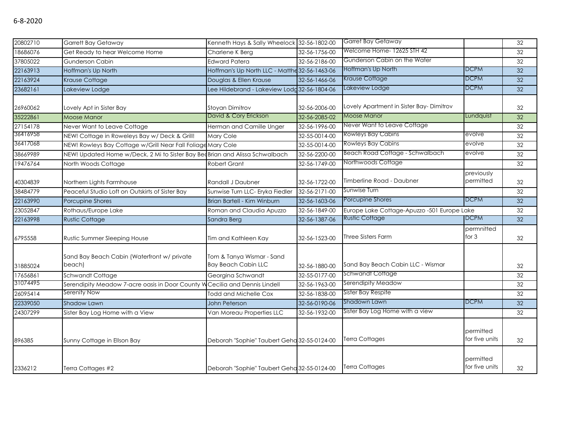| 20802710 | <b>Garrett Bay Getaway</b>                                                  | Kenneth Hays & Sally Wheelock 32-56-1802-00             |               | Garret Bay Getaway                          |                             | 32 |
|----------|-----------------------------------------------------------------------------|---------------------------------------------------------|---------------|---------------------------------------------|-----------------------------|----|
| 18686076 | Get Ready to hear Welcome Home                                              | Charlene K Berg                                         | 32-56-1756-00 | Welcome Home- 12625 STH 42                  |                             | 32 |
| 37805022 | <b>Gunderson Cabin</b>                                                      | <b>Edward Patera</b>                                    | 32-56-2186-00 | Gunderson Cabin on the Water                |                             | 32 |
| 22163913 | Hoffman's Up North                                                          | Hoffman's Up North LLC - Matthe 32-56-1463-06           |               | Hoffman's Up North                          | <b>DCPM</b>                 | 32 |
| 22163924 | Krause Cottage                                                              | Douglas & Ellen Krause                                  | 32-56-1466-06 | Krause Cottage                              | <b>DCPM</b>                 | 32 |
| 23682161 | Lakeview Lodge                                                              | Lee Hildebrand - Lakeview Lodg 32-56-1804-06            |               | Lakeview Lodge                              | <b>DCPM</b>                 | 32 |
| 26960062 | Lovely Apt in Sister Bay                                                    | <b>Stoyan Dimitrov</b>                                  | 32-56-2006-00 | Lovely Apartment in Sister Bay-Dimitrov     |                             | 32 |
| 35222861 | <b>Moose Manor</b>                                                          | David & Cory Erickson                                   | 32-56-2085-02 | Moose Manor                                 | Lundquist                   | 32 |
| 27154178 | Never Want to Leave Cottage                                                 | Herman and Camille Unger                                | 32-56-1996-00 | Never Want to Leave Cottage                 |                             | 32 |
| 36416958 | NEW! Cottage in Roweleys Bay w/ Deck & Grill!                               | <b>Mary Cole</b>                                        | 32-55-0014-00 | Rowleys Bay Cabins                          | evolve                      | 32 |
| 36417068 | NEW! Rowleys Bay Cottage w/Grill Near Fall Foliage Mary Cole                |                                                         | 32-55-0014-00 | <b>Rowleys Bay Cabins</b>                   | evolve                      | 32 |
| 38669989 | NEW! Updated Home w/Deck, 2 Mi to Sister Bay BedBrian and Alissa Schwalbach |                                                         | 32-56-2200-00 | Beach Road Cottage - Schwalbach             | evolve                      | 32 |
| 19476764 | North Woods Cottage                                                         | Robert Grant                                            | 32-56-1749-00 | Northwoods Cottage                          |                             | 32 |
| 40304839 | Northern Lights Farmhouse                                                   | Randall J Daubner                                       | 32-56-1722-00 | Timberline Road - Daubner                   | previously<br>permitted     | 32 |
| 38484779 | Peaceful Studio Loft on Outskirts of Sister Bay                             | Sunwise Turn LLC- Eryka Fiedler                         | 32-56-2171-00 | Sunwise Turn                                |                             | 32 |
| 22163990 | Porcupine Shores                                                            | Brian Bartell - Kim Winburn                             | 32-56-1603-06 | Porcupine Shores                            | <b>DCPM</b>                 | 32 |
| 23052847 | Rothaus/Europe Lake                                                         | Roman and Claudia Apuzzo                                | 32-56-1849-00 | Europe Lake Cottage-Apuzzo -501 Europe Lake |                             | 32 |
| 22163998 | <b>Rustic Cottage</b>                                                       | Sandra Berg                                             | 32-56-1387-06 | <b>Rustic Cottage</b>                       | <b>DCPM</b>                 | 32 |
| 6795558  | Rustic Summer Sleeping House                                                | Tim and Kathleen Kay                                    | 32-56-1523-00 | <b>Three Sisters Farm</b>                   | permnitted<br>for 3         | 32 |
| 31885024 | Sand Bay Beach Cabin (Waterfront w/ private<br>beach)                       | Tom & Tanya Wismar - Sand<br><b>Bay Beach Cabin LLC</b> | 32-56-1880-00 | Sand Bay Beach Cabin LLC - Wismar           |                             | 32 |
| 17656861 | Schwandt Cottage                                                            | Georgina Schwandt                                       | 32-55-0177-00 | <b>Schwandt Cottage</b>                     |                             | 32 |
| 31074495 | Serendipity Meadow 7-acre oasis in Door County W                            | Cecilia and Dennis Lindell                              | 32-56-1963-00 | Serendipity Meadow                          |                             | 32 |
| 26095414 | Serenity Now                                                                | <b>Todd and Michelle Cox</b>                            | 32-56-1838-00 | Sister Bay Respite                          |                             | 32 |
| 22339050 | Shadow Lawn                                                                 | John Peterson                                           | 32-56-0190-06 | Shadown Lawn                                | <b>DCPM</b>                 | 32 |
| 24307299 | Sister Bay Log Home with a View                                             | Van Moreau Properties LLC                               | 32-56-1932-00 | Sister Bay Log Home with a view             |                             | 32 |
| 896385   | Sunny Cottage in Ellson Bay                                                 | Deborah "Sophie" Taubert Geha 32-55-0124-00             |               | <b>Terra Cottages</b>                       | permitted<br>for five units | 32 |
|          |                                                                             |                                                         |               |                                             |                             |    |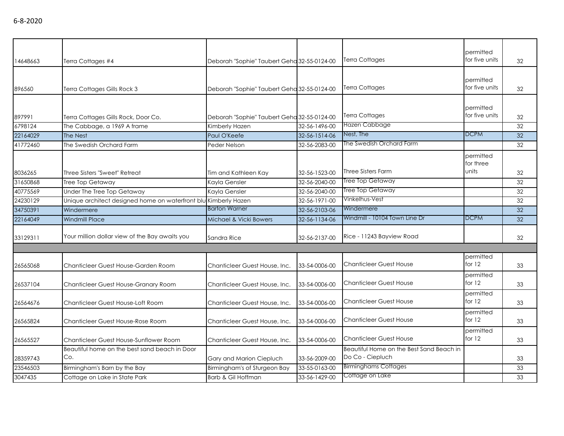| 14648663 | Terra Cottages #4                                               | Deborah "Sophie" Taubert Geha 32-55-0124-00 |               | <b>Terra Cottages</b>                                        | permitted<br>for five units     | 32              |
|----------|-----------------------------------------------------------------|---------------------------------------------|---------------|--------------------------------------------------------------|---------------------------------|-----------------|
| 896560   | Terra Cottages Gills Rock 3                                     | Deborah "Sophie" Taubert Geha 32-55-0124-00 |               | <b>Terra Cottages</b>                                        | permitted<br>for five units     | 32              |
| 897991   | Terra Cottages Gills Rock, Door Co.                             | Deborah "Sophie" Taubert Geha 32-55-0124-00 |               | <b>Terra Cottages</b>                                        | permitted<br>for five units     | 32              |
| 6798124  | The Cabbage, a 1969 A frame                                     | Kimberly Hazen                              | 32-56-1496-00 | Hazen Cabbage                                                |                                 | 32              |
| 22164029 | The Nest                                                        | Paul O'Keefe                                | 32-56-1514-06 | Nest, The                                                    | <b>DCPM</b>                     | 32              |
| 41772460 | The Swedish Orchard Farm                                        | Peder Nelson                                | 32-56-2083-00 | The Swedish Orchard Farm                                     |                                 | 32              |
| 8036265  | Three Sisters "Sweet" Retreat                                   | Tim and Kathleen Kay                        | 32-56-1523-00 | Three Sisters Farm                                           | permitted<br>for three<br>units | 32              |
| 31650868 | Tree Top Getaway                                                | Kayla Gensler                               | 32-56-2040-00 | Tree Top Getaway                                             |                                 | 32              |
| 40775569 | Under The Tree Top Getaway                                      | Kayla Gensler                               | 32-56-2040-00 | Tree Top Getaway                                             |                                 | 32              |
| 24230129 | Unique architect designed home on waterfront blu Kimberly Hazen |                                             | 32-56-1971-00 | Vinkelhus-Vest                                               |                                 | 32              |
| 34750391 | Windermere                                                      | <b>Barton Warner</b>                        | 32-56-2103-06 | Windermere                                                   |                                 | $\overline{32}$ |
| 22164049 | <b>Windmill Place</b>                                           | Michael & Vicki Bowers                      | 32-56-1134-06 | Windmill - 10104 Town Line Dr                                | <b>DCPM</b>                     | 32              |
| 33129311 | Your million dollar view of the Bay awaits you                  | Sandra Rice                                 | 32-56-2137-00 | Rice - 11243 Bayview Road                                    |                                 | 32              |
|          |                                                                 |                                             |               |                                                              |                                 |                 |
| 26565068 | Chanticleer Guest House-Garden Room                             | Chanticleer Guest House, Inc.               | 33-54-0006-00 | <b>Chanticleer Guest House</b>                               | permitted<br>for $12$           | 33              |
| 26537104 | Chanticleer Guest House-Granary Room                            | Chanticleer Guest House, Inc.               | 33-54-0006-00 | <b>Chanticleer Guest House</b>                               | permitted<br>for $12$           | 33              |
| 26564676 | Chanticleer Guest House-Loft Room                               | Chanticleer Guest House, Inc.               | 33-54-0006-00 | <b>Chanticleer Guest House</b>                               | permitted<br>for $12$           | 33              |
| 26565824 | Chanticleer Guest House-Rose Room                               | Chanticleer Guest House, Inc.               | 33-54-0006-00 | <b>Chanticleer Guest House</b>                               | permitted<br>for $12$           | 33              |
| 26565527 | Chanticleer Guest House-Sunflower Room                          | Chanticleer Guest House, Inc.               | 33-54-0006-00 | <b>Chanticleer Guest House</b>                               | permitted<br>for 12             | 33              |
| 28359743 | Beautiful home on the best sand beach in Door<br>Co.            | Gary and Marion Ciepluch                    | 33-56-2009-00 | Beautiful Home on the Best Sand Beach in<br>Do Co - Ciepluch |                                 | 33              |
| 23546503 | Birmingham's Barn by the Bay                                    | Birmingham's of Sturgeon Bay                | 33-55-0163-00 | <b>Birminghams Cottages</b>                                  |                                 | 33              |
| 3047435  | Cottage on Lake in State Park                                   | Barb & Gil Hoffman                          | 33-56-1429-00 | Cottage on Lake                                              |                                 | 33              |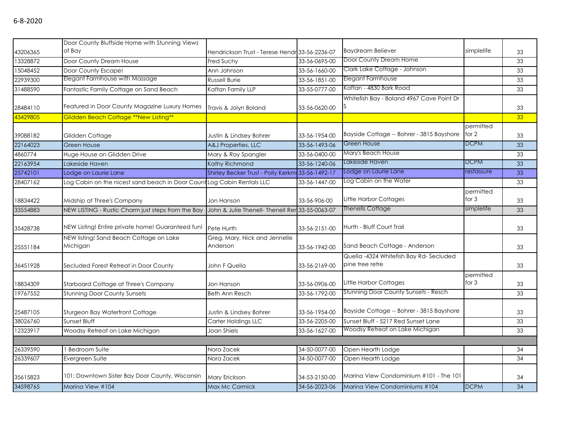|          | Door County Bluffside Home with Stunning Views                         |                                                  |               |                                                           |                      |                 |
|----------|------------------------------------------------------------------------|--------------------------------------------------|---------------|-----------------------------------------------------------|----------------------|-----------------|
| 43206365 | of Bay                                                                 | Hendrickson Trust - Terese Hendr 33-56-2236-07   |               | <b>Baydream Believer</b>                                  | simplelife           | 33              |
| 13328872 | Door County Dream House                                                | Fred Suchy                                       | 33-56-0695-00 | Door County Dream Home                                    |                      | 33              |
| 15048452 | Door County Escape!                                                    | Ann Johnson                                      | 33-56-1660-00 | Clark Lake Cottage - Johnson                              |                      | 33              |
| 22939300 | Elegant Farmhouse with Massage                                         | Russell Burie                                    | 33-56-1851-00 | Elegant Farmhouse                                         |                      | 33              |
| 31488590 | Fantastic Family Cottage on Sand Beach                                 | Kaftan Family LLP                                | 33-55-0777-00 | Kaftan - 4830 Bark Road                                   |                      | 33              |
| 28484110 | Featured in Door County Magazine Luxury Homes                          | Travis & Jolyn Boland                            | 33-56-0620-00 | Whitefish Bay - Boland 4967 Cave Point Dr                 |                      | 33              |
| 43429805 | Glidden Beach Cottage **New Listing**                                  |                                                  |               |                                                           |                      | 33 <sup>°</sup> |
| 39088182 | Glidden Cottage                                                        | Justin & Lindsey Bohrer                          | 33-56-1954-00 | Bayside Cottage -- Bohrer - 3815 Bayshore                 | permitted<br>for 2   | 33              |
| 22164023 | <b>Green House</b>                                                     | A&J Properties, LLC                              | 33-56-1493-06 | Green House                                               | <b>DCPM</b>          | 33              |
| 4860774  | Huge House on Glidden Drive                                            | Mary & Ray Spangler                              | 33-56-0400-00 | Mary's Beach House                                        |                      | 33              |
| 22163954 | Lakeside Haven                                                         | Kathy Richmond                                   | 33-56-1240-06 | Lakeside Haven                                            | <b>DCPM</b>          | 33              |
| 25742101 | Lodge on Laurie Lane                                                   | Shirley Becker Trust - Polly Kerkm 33-56-1492-17 |               | Lodge on Laurie Lane                                      | restassure           | 33              |
| 28407162 | Log Cabin on the nicest sand beach in Door Count Log Cabin Rentals LLC |                                                  | 33-56-1447-00 | Log Cabin on the Water                                    |                      | 33              |
| 18834422 | Midship at Three's Company                                             | Jon Hanson                                       | 33-56-906-00  | Little Harbor Cottages                                    | permitted<br>for $3$ | 33              |
| 33554883 | NEW LISTING - Rustic Charm just steps from the Bay                     | John & Julie Thenell- Thenell Rer 33-55-0063-07  |               | Thenells Cottage                                          | simplelife           | 33              |
| 35428738 | NEW Listing! Entire private home! Guaranteed fun!                      | Pete Hurth                                       | 33-56-2151-00 | Hurth - Bluff Court Trail                                 |                      | 33              |
| 25551184 | NEW listing! Sand Beach Cottage on Lake<br>Michigan                    | Greg, Mary, Nick and Jennelle<br>Anderson        | 33-56-1942-00 | Sand Beach Cottage - Anderson                             |                      | 33              |
| 36451928 | Secluded Forest Retreat in Door County                                 | John F Quella                                    | 33-56-2169-00 | Quella -4324 Whitefish Bay Rd-Secluded<br>pine tree retre |                      | 33              |
| 18834309 | Starboard Cottage at Three's Company                                   | Jon Hanson                                       | 33-56-0906-00 | Little Harbor Cottages                                    | permitted<br>for $3$ | 33              |
| 19767552 | <b>Stunning Door County Sunsets</b>                                    | <b>Beth Ann Resch</b>                            | 33-56-1792-00 | Stunning Door County Sunsets - Resch                      |                      | 33              |
| 25487105 | Sturgeon Bay Waterfront Cottage                                        | Justin & Lindsey Bohrer                          | 33-56-1954-00 | Bayside Cottage -- Bohrer - 3815 Bayshore                 |                      | 33              |
| 38026760 | Sunset Bluff                                                           | Carter Holdings LLC                              | 33-56-2205-00 | Sunset Bluff - 5217 Red Sunset Lane                       |                      | 33              |
| 12323917 | Woodsy Retreat on Lake Michigan                                        | Joan Shiels                                      | 33-56-1627-00 | Woodsy Retreat on Lake Michigan                           |                      | 33              |
|          |                                                                        |                                                  |               |                                                           |                      |                 |
| 26339590 | 1 Bedroom Suite                                                        | Nora Zacek                                       | 34-50-0077-00 | Open Hearth Lodge                                         |                      | 34              |
| 26339607 | Evergreen Suite                                                        | Nora Zacek                                       | 34-50-0077-00 | Open Hearth Lodge                                         |                      | 34              |
| 35615823 | 101: Downtown Sister Bay Door County, Wisconsin                        | Mary Erickson                                    | 34-53-2150-00 | Marina View Condominium #101 - The 101                    |                      | 34              |
| 34598765 | Marina View #104                                                       | Max Mc Cormick                                   | 34-56-2023-06 | Marina View Condominiums #104                             | <b>DCPM</b>          | 34              |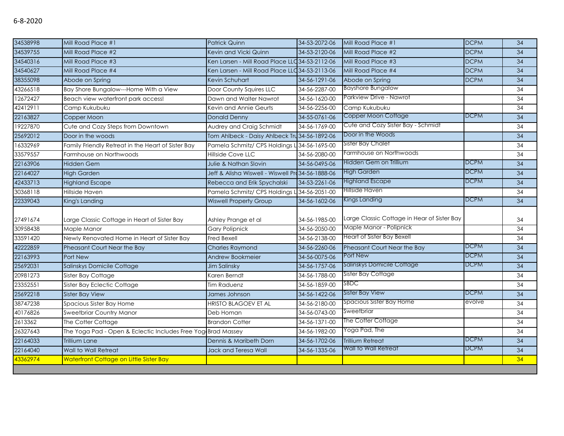| 34538998 | Mill Road Place #1                                           | <b>Patrick Quinn</b>                              | 34-53-2072-06 | Mill Road Place #1                          | <b>DCPM</b> | 34 |
|----------|--------------------------------------------------------------|---------------------------------------------------|---------------|---------------------------------------------|-------------|----|
| 34539755 | Mill Road Place #2                                           | Kevin and Vicki Quinn                             | 34-53-2120-06 | Mill Road Place #2                          | <b>DCPM</b> | 34 |
| 34540316 | Mill Road Place #3                                           | Ken Larsen - Mill Road Place LLC 34-53-2112-06    |               | Mill Road Place #3                          | <b>DCPM</b> | 34 |
| 34540627 | Mill Road Place #4                                           | Ken Larsen - Mill Road Place LLC 34-53-2113-06    |               | Mill Road Place #4                          | <b>DCPM</b> | 34 |
| 38355098 | Abode on Spring                                              | Kevin Schuhart                                    | 34-56-1291-06 | Abode on Spring                             | <b>DCPM</b> | 34 |
| 43266518 | Bay Shore Bungalow---Home With a View                        | Door County Squires LLC                           | 34-56-2287-00 | <b>Bayshore Bungalow</b>                    |             | 34 |
| 12672427 | Beach view waterfront park access!                           | Dawn and Walter Nawrot                            | 34-56-1620-00 | Parkview Drive - Nawrot                     |             | 34 |
| 42412911 | Camp Kukubuku                                                | Kevin and Annie Geurts                            | 34-56-2256-00 | Camp Kukubuku                               |             | 34 |
| 22163827 | Copper Moon                                                  | <b>Donald Denny</b>                               | 34-55-0761-06 | Copper Moon Cottage                         | <b>DCPM</b> | 34 |
| 19227870 | Cute and Cozy Steps from Downtown                            | Audrey and Craig Schmidt                          | 34-56-1769-00 | Cute and Cozy Sister Bay - Schmidt          |             | 34 |
| 25692012 | Door in the woods                                            | Tom Ahlbeck - Daisy Ahlbeck Tru 34-56-1892-06     |               | Door in the Woods                           |             | 34 |
| 16332969 | Family Friendly Retreat in the Heart of Sister Bay           | Pamela Schmitz/ CPS Holdings L 34-56-1695-00      |               | <b>Sister Bay Chalet</b>                    |             | 34 |
| 33579557 | Farmhouse on Northwoods                                      | Hillside Cove LLC                                 | 34-56-2080-00 | Farmhouse on Northwoods                     |             | 34 |
| 22163906 | <b>Hidden Gem</b>                                            | <b>Julie &amp; Nathan Slovin</b>                  | 34-56-0495-06 | Hidden Gem on Trillium                      | <b>DCPM</b> | 34 |
| 22164027 | <b>High Garden</b>                                           | Jeff & Alisha Wiswell - Wiswell Pro 34-56-1888-06 |               | High Garden                                 | <b>DCPM</b> | 34 |
| 42433713 | <b>Highland Escape</b>                                       | Rebecca and Erik Spychalski                       | 34-53-2261-06 | <b>Highland Escape</b>                      | <b>DCPM</b> | 34 |
| 30368118 | Hillside Haven                                               | Pamela Schmitz/ CPS Holdings L 34-56-2051-00      |               | Hillside Haven                              |             | 34 |
| 22339043 | King's Landing                                               | <b>Wiswell Property Group</b>                     | 34-56-1602-06 | Kings Landing                               | <b>DCPM</b> | 34 |
|          |                                                              |                                                   |               |                                             |             |    |
| 27491674 | Large Classic Cottage in Heart of Sister Bay                 | Ashley Prange et al                               | 34-56-1985-00 | Large Classic Cottage in Hear of Sister Bay |             | 34 |
| 30958438 | Maple Manor                                                  | <b>Gary Polipnick</b>                             | 34-56-2050-00 | Maple Manor - Polipnick                     |             | 34 |
| 33591420 | Newly Renovated Home in Heart of Sister Bay                  | Fred Bexell                                       | 34-56-2138-00 | <b>Heart of Sister Bay Bexell</b>           |             | 34 |
| 42222859 | Pheasant Court Near the Bay                                  | <b>Charles Raymond</b>                            | 34-56-2260-06 | Pheasant Court Near the Bay                 | <b>DCPM</b> | 34 |
| 22163993 | Port New                                                     | Andrew Bookmeier                                  | 34-56-0075-06 | Port New                                    | <b>DCPM</b> | 34 |
| 25692031 | Salinskys Domicile Cottage                                   | Jim Salinsky                                      | 34-56-1757-06 | Salinskys Domicile Cottage                  | <b>DCPM</b> | 34 |
| 20981273 | Sister Bay Cottage                                           | Karen Berndt                                      | 34-56-1788-00 | Sister Bay Cottage                          |             | 34 |
| 23352551 | Sister Bay Eclectic Cottage                                  | <b>Tim Raduenz</b>                                | 34-56-1859-00 | <b>SBDC</b>                                 |             | 34 |
| 25692218 | <b>Sister Bay View</b>                                       | James Johnson                                     | 34-56-1422-06 | <b>Sister Bay View</b>                      | <b>DCPM</b> | 34 |
| 38747238 | Spacious Sister Bay Home                                     | <b>HRISTO BLAGOEV ET AL</b>                       | 34-56-2180-00 | Spacious Sister Bay Home                    | evolve      | 34 |
| 40176826 | Sweetbriar Country Manor                                     | Deb Homan                                         | 34-56-0743-00 | Sweetbriar                                  |             | 34 |
| 2613362  | The Cotter Cottage                                           | <b>Brandon Cotter</b>                             | 34-56-1371-00 | The Cotter Cottage                          |             | 34 |
| 26327643 | The Yoga Pad - Open & Eclectic Includes Free Yog Brad Massey |                                                   | 34-56-1982-00 | Yoga Pad, The                               |             | 34 |
| 22164033 | Trillium Lane                                                | Dennis & Maribeth Dorn                            | 34-56-1702-06 | <b>Trillium Retreat</b>                     | <b>DCPM</b> | 34 |
| 22164040 | Wall to Wall Retreat                                         | Jack and Teresa Wall                              | 34-56-1335-06 | Wall to Wall Retreat                        | <b>DCPM</b> | 34 |
| 43362974 | Waterfront Cottage on Little Sister Bay                      |                                                   |               |                                             |             | 34 |
|          |                                                              |                                                   |               |                                             |             |    |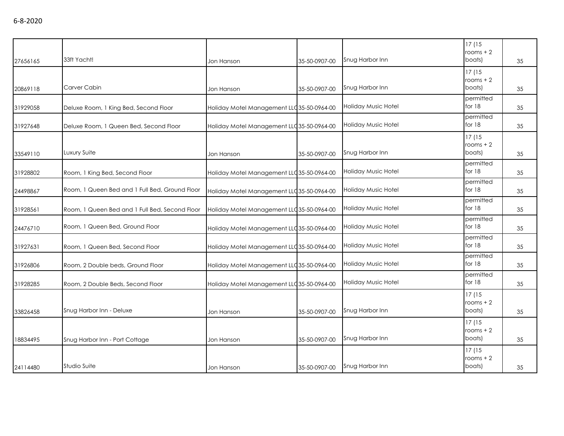| 27656165 | 33ft Yacht!                                    | Jon Hanson                                 | 35-50-0907-00 | Snug Harbor Inn            | 17 (15<br>rooms $+2$<br>boats) | 35 |
|----------|------------------------------------------------|--------------------------------------------|---------------|----------------------------|--------------------------------|----|
| 20869118 | Carver Cabin                                   | Jon Hanson                                 | 35-50-0907-00 | Snug Harbor Inn            | 17(15)<br>rooms $+2$<br>boats) | 35 |
| 31929058 | Deluxe Room, 1 King Bed, Second Floor          | Holiday Motel Management LLC 35-50-0964-00 |               | <b>Holiday Music Hotel</b> | permitted<br>for 18            | 35 |
| 31927648 | Deluxe Room, 1 Queen Bed, Second Floor         | Holiday Motel Management LLC 35-50-0964-00 |               | Holiday Music Hotel        | permitted<br>for 18            | 35 |
| 33549110 | Luxury Suite                                   | Jon Hanson                                 | 35-50-0907-00 | Snug Harbor Inn            | 17(15<br>rooms $+2$<br>boats)  | 35 |
| 31928802 | Room, 1 King Bed, Second Floor                 | Holiday Motel Management LLC 35-50-0964-00 |               | Holiday Music Hotel        | permitted<br>for 18            | 35 |
| 24498867 | Room, 1 Queen Bed and 1 Full Bed, Ground Floor | Holiday Motel Management LLC 35-50-0964-00 |               | Holiday Music Hotel        | permitted<br>for 18            | 35 |
| 31928561 | Room, 1 Queen Bed and 1 Full Bed, Second Floor | Holiday Motel Management LLC 35-50-0964-00 |               | Holiday Music Hotel        | permitted<br>for 18            | 35 |
| 24476710 | Room, 1 Queen Bed, Ground Floor                | Holiday Motel Management LLC 35-50-0964-00 |               | Holiday Music Hotel        | permitted<br>for 18            | 35 |
| 31927631 | Room, 1 Queen Bed, Second Floor                | Holiday Motel Management LLC 35-50-0964-00 |               | Holiday Music Hotel        | permitted<br>for 18            | 35 |
| 31926806 | Room, 2 Double beds, Ground Floor              | Holiday Motel Management LLC 35-50-0964-00 |               | Holiday Music Hotel        | permitted<br>for 18            | 35 |
| 31928285 | Room, 2 Double Beds, Second Floor              | Holiday Motel Management LLC 35-50-0964-00 |               | Holiday Music Hotel        | permitted<br>for 18            | 35 |
| 33826458 | Snug Harbor Inn - Deluxe                       | Jon Hanson                                 | 35-50-0907-00 | Snug Harbor Inn            | 17(15<br>rooms $+2$<br>boats)  | 35 |
| 18834495 | Snug Harbor Inn - Port Cottage                 | Jon Hanson                                 | 35-50-0907-00 | Snug Harbor Inn            | 17(15<br>rooms $+2$<br>boats)  | 35 |
| 24114480 | Studio Suite                                   | Jon Hanson                                 | 35-50-0907-00 | Snug Harbor Inn            | 17(15<br>$rooms + 2$<br>boats) | 35 |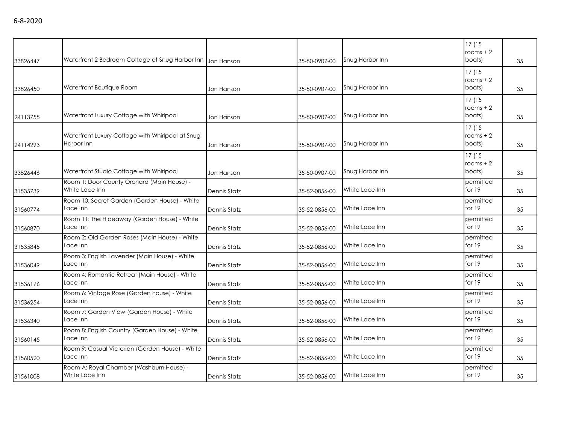|          | Waterfront 2 Bedroom Cottage at Snug Harbor Inn Jon Hanson     |                     |               | Snug Harbor Inn | 17(15<br>rooms $+2$<br>boats) |    |
|----------|----------------------------------------------------------------|---------------------|---------------|-----------------|-------------------------------|----|
| 33826447 |                                                                |                     | 35-50-0907-00 |                 |                               | 35 |
|          |                                                                |                     |               |                 | 17(15                         |    |
|          | Waterfront Boutique Room                                       |                     |               | Snug Harbor Inn | rooms $+2$<br>boats)          |    |
| 33826450 |                                                                | Jon Hanson          | 35-50-0907-00 |                 |                               | 35 |
|          |                                                                |                     |               |                 | 17(15                         |    |
|          | Waterfront Luxury Cottage with Whirlpool                       |                     |               | Snug Harbor Inn | rooms $+2$<br>boats)          |    |
| 24113755 |                                                                | Jon Hanson          | 35-50-0907-00 |                 |                               | 35 |
|          |                                                                |                     |               |                 | 17(15                         |    |
|          | Waterfront Luxury Cottage with Whirlpool at Snug<br>Harbor Inn |                     |               | Snug Harbor Inn | rooms $+2$<br>boats)          |    |
| 24114293 |                                                                | Jon Hanson          | 35-50-0907-00 |                 |                               | 35 |
|          |                                                                |                     |               |                 | 17(15                         |    |
|          | Waterfront Studio Cottage with Whirlpool                       |                     |               | Snug Harbor Inn | rooms $+2$<br>boats)          |    |
| 33826446 |                                                                | Jon Hanson          | 35-50-0907-00 |                 |                               | 35 |
|          | Room 1: Door County Orchard (Main House) -<br>White Lace Inn   |                     |               | White Lace Inn  | permitted<br>for $19$         |    |
| 31535739 |                                                                | <b>Dennis Statz</b> | 35-52-0856-00 |                 |                               | 35 |
|          | Room 10: Secret Garden (Garden House) - White<br>Lace Inn      |                     |               | White Lace Inn  | permitted<br>for $19$         |    |
| 31560774 |                                                                | <b>Dennis Statz</b> | 35-52-0856-00 |                 |                               | 35 |
|          | Room 11: The Hideaway (Garden House) - White                   |                     |               |                 | permitted<br>for $19$         |    |
| 31560870 | Lace Inn                                                       | Dennis Statz        | 35-52-0856-00 | White Lace Inn  |                               | 35 |
|          | Room 2: Old Garden Roses (Main House) - White                  |                     |               | White Lace Inn  | permitted<br>for $19$         |    |
| 31535845 | Lace Inn                                                       | Dennis Statz        | 35-52-0856-00 |                 |                               | 35 |
|          | Room 3: English Lavender (Main House) - White                  |                     |               |                 | permitted                     |    |
| 31536049 | Lace Inn                                                       | Dennis Statz        | 35-52-0856-00 | White Lace Inn  | for 19                        | 35 |
|          | Room 4: Romantic Retreat (Main House) - White                  |                     |               |                 | permitted                     |    |
| 31536176 | Lace Inn                                                       | Dennis Statz        | 35-52-0856-00 | White Lace Inn  | for 19                        | 35 |
|          | Room 6: Vintage Rose (Garden house) - White                    |                     |               |                 | permitted                     |    |
| 31536254 | Lace Inn                                                       | Dennis Statz        | 35-52-0856-00 | White Lace Inn  | for 19                        | 35 |
|          | Room 7: Garden View (Garden House) - White                     |                     |               |                 | permitted                     |    |
| 31536340 | Lace Inn                                                       | Dennis Statz        | 35-52-0856-00 | White Lace Inn  | for 19                        | 35 |
|          | Room 8: English Country (Garden House) - White                 |                     |               |                 | permitted                     |    |
| 31560145 | Lace Inn                                                       | Dennis Statz        | 35-52-0856-00 | White Lace Inn  | for $19$                      | 35 |
|          | Room 9: Casual Victorian (Garden House) - White                |                     |               |                 | permitted                     |    |
| 31560520 | Lace Inn                                                       | Dennis Statz        | 35-52-0856-00 | White Lace Inn  | for $19$                      | 35 |
|          | Room A: Royal Chamber (Washburn House) -                       |                     |               |                 | permitted                     |    |
| 31561008 | White Lace Inn                                                 | Dennis Statz        | 35-52-0856-00 | White Lace Inn  | for $19$                      | 35 |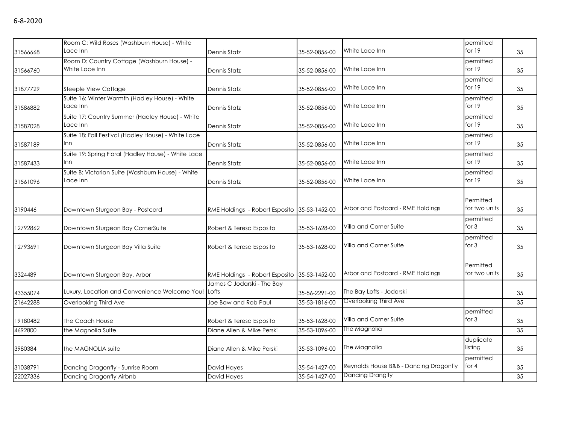|          | Room C: Wild Roses (Washburn House) - White                            |                                              |               |                                        | permitted             |    |
|----------|------------------------------------------------------------------------|----------------------------------------------|---------------|----------------------------------------|-----------------------|----|
| 31566668 | Lace Inn                                                               | Dennis Statz                                 | 35-52-0856-00 | White Lace Inn                         | for $19$              | 35 |
|          | Room D: Country Cottage (Washburn House) -                             |                                              |               |                                        | permitted             |    |
| 31566760 | White Lace Inn                                                         | Dennis Statz                                 | 35-52-0856-00 | White Lace Inn                         | for $19$              | 35 |
|          |                                                                        |                                              |               | White Lace Inn                         | permitted<br>for $19$ |    |
| 31877729 | Steeple View Cottage<br>Suite 16: Winter Warmth (Hadley House) - White | Dennis Statz                                 | 35-52-0856-00 |                                        | permitted             | 35 |
| 31586882 | Lace Inn                                                               | Dennis Statz                                 | 35-52-0856-00 | White Lace Inn                         | for $19$              | 35 |
|          | Suite 17: Country Summer (Hadley House) - White                        |                                              |               |                                        | permitted             |    |
| 31587028 | Lace Inn                                                               | <b>Dennis Statz</b>                          | 35-52-0856-00 | White Lace Inn                         | for $19$              | 35 |
|          | Suite 18: Fall Festival (Hadley House) - White Lace<br>Inn             |                                              |               | White Lace Inn                         | permitted<br>for $19$ |    |
| 31587189 |                                                                        | Dennis Statz                                 | 35-52-0856-00 |                                        |                       | 35 |
| 31587433 | Suite 19: Spring Floral (Hadley House) - White Lace<br>Inn             | Dennis Statz                                 | 35-52-0856-00 | White Lace Inn                         | permitted<br>for $19$ | 35 |
|          | Suite B: Victorian Suite (Washburn House) - White                      |                                              |               |                                        | permitted             |    |
| 31561096 | Lace Inn                                                               | Dennis Statz                                 | 35-52-0856-00 | White Lace Inn                         | for $19$              | 35 |
|          |                                                                        |                                              |               |                                        |                       |    |
|          |                                                                        |                                              |               |                                        | Permitted             |    |
| 3190446  | Downtown Sturgeon Bay - Postcard                                       | RME Holdings - Robert Esposito 35-53-1452-00 |               | Arbor and Postcard - RME Holdings      | for two units         | 35 |
|          |                                                                        |                                              |               |                                        | permitted             |    |
| 12792862 | Downtown Sturgeon Bay CornerSuite                                      | Robert & Teresa Esposito                     | 35-53-1628-00 | Villa and Corner Suite                 | for $3$               | 35 |
| 12793691 | Downtown Sturgeon Bay Villa Suite                                      | Robert & Teresa Esposito                     | 35-53-1628-00 | Villa and Corner Suite                 | permitted<br>for $3$  | 35 |
|          |                                                                        |                                              |               |                                        |                       |    |
|          |                                                                        |                                              |               |                                        | Permitted             |    |
| 3324489  | Downtown Sturgeon Bay, Arbor                                           | RME Holdings - Robert Esposito 35-53-1452-00 |               | Arbor and Postcard - RME Holdings      | for two units         | 35 |
|          |                                                                        | James C Jodarski - The Bay                   |               |                                        |                       |    |
| 43355074 | Luxury, Location and Convenience Welcome You!                          | Lofts                                        | 35-56-2291-00 | The Bay Lofts - Jodarski               |                       | 35 |
| 21642288 | Overlooking Third Ave                                                  | Joe Baw and Rob Paul                         | 35-53-1816-00 | Overlooking Third Ave                  |                       | 35 |
|          |                                                                        |                                              |               |                                        | permitted             |    |
| 19180482 | The Coach House                                                        | Robert & Teresa Esposito                     | 35-53-1628-00 | Villa and Corner Suite                 | for $3$               | 35 |
| 4692800  | the Magnolia Suite                                                     | Diane Allen & Mike Perski                    | 35-53-1096-00 | The Magnolia                           |                       | 35 |
|          |                                                                        |                                              |               | The Magnolia                           | duplicate<br>listing  |    |
| 3980384  | the MAGNOLIA suite                                                     | Diane Allen & Mike Perski                    | 35-53-1096-00 |                                        | permitted             | 35 |
| 31038791 | Dancing Dragonfly - Sunrise Room                                       | David Hayes                                  | 35-54-1427-00 | Reynolds House B&B - Dancing Dragonfly | for 4                 | 35 |
| 22027336 | Dancing Dragonfly Airbnb                                               | David Hayes                                  | 35-54-1427-00 | <b>Dancing Dranglfy</b>                |                       | 35 |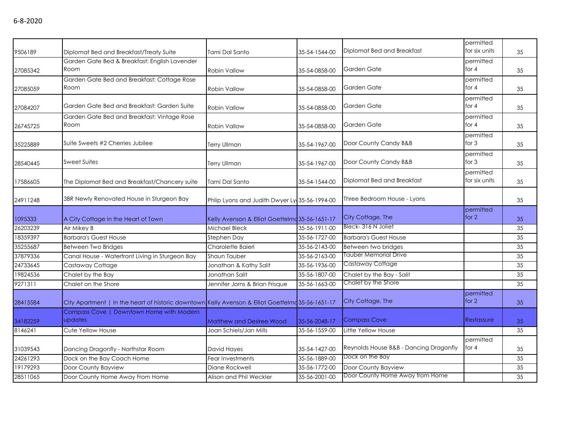| 9506189  | Diplomat Bed and Breakfast/Treaty Suite                                                          | Tami Dal Santo                                 | 35-54-1544-00 | Diplomat Bed and Breakfast             | permitted<br>for six units | 35 |
|----------|--------------------------------------------------------------------------------------------------|------------------------------------------------|---------------|----------------------------------------|----------------------------|----|
|          | Garden Gate Bed & Breakfast: English Lavender                                                    |                                                |               |                                        | permitted                  |    |
| 27085342 | Room                                                                                             | <b>Robin Vallow</b>                            | 35-54-0858-00 | Garden Gate                            | for $4$                    | 35 |
|          | Garden Gate Bed and Breakfast: Cottage Rose                                                      |                                                |               |                                        | permitted                  |    |
| 27085059 | Room                                                                                             | <b>Robin Vallow</b>                            | 35-54-0858-00 | Garden Gate                            | for $4$                    | 35 |
| 27084207 | Garden Gate Bed and Breakfast: Garden Suite                                                      | <b>Robin Vallow</b>                            | 35-54-0858-00 | Garden Gate                            | permitted<br>for $4$       | 35 |
|          | Garden Gate Bed and Breakfast: Vintage Rose                                                      |                                                |               |                                        | permitted                  |    |
| 26745725 | Room                                                                                             | Robin Vallow                                   | 35-54-0858-00 | Garden Gate                            | for $4$                    | 35 |
| 35225889 | Suite Sweets #2 Cherries Jubilee                                                                 | <b>Terry Ullman</b>                            | 35-54-1967-00 | Door County Candy B&B                  | permitted<br>for $3$       | 35 |
| 28540445 | <b>Sweet Suites</b>                                                                              | Terry Ullman                                   | 35-54-1967-00 | Door County Candy B&B                  | permitted<br>for $3$       | 35 |
| 17586605 | The Diplomat Bed and Breakfast/Chancery suite                                                    | Tami Dal Santo                                 | 35-54-1544-00 | Diplomat Bed and Breakfast             | permitted<br>for six units | 35 |
| 24911248 | 3BR Newly Renovated House in Sturgeon Bay                                                        | Phlip Lyons and Judith Dwyer Ly 35-56-1994-00  |               | Three Bedroom House - Lyons            |                            | 35 |
| 1095333  | A City Cottage in the Heart of Town                                                              | Kelly Avenson & Elliot Goettelmd 35-56-1651-17 |               | City Cottage, The                      | permitted<br>for $2$       | 35 |
| 26203239 | Air Mikey B                                                                                      | Michael Bleck                                  | 35-56-1911-00 | Bleck-316 N Joliet                     |                            | 35 |
| 18359397 | <b>Barbara's Guest House</b>                                                                     | Stephen Day                                    | 35-56-1727-00 | <b>Barbara's Guest House</b>           |                            | 35 |
| 35255687 | <b>Between Two Bridges</b>                                                                       | Charolette Baierl                              | 35-56-2143-00 | Between two bridges                    |                            | 35 |
| 37879336 | Canal House - Waterfront Living in Sturgeon Bay                                                  | Shaun Tauber                                   | 35-56-2163-00 | Tauber Memorial Drive                  |                            | 35 |
| 24733645 | Castaway Cottage                                                                                 | Jonathan & Kathy Salit                         | 35-56-1936-00 | Castaway Cottage                       |                            | 35 |
| 19824536 | Chalet by the Bay                                                                                | Jonathan Salit                                 | 35-56-1807-00 | Chalet by the Bay - Salit              |                            | 35 |
| 9271311  | Chalet on the Shore                                                                              | Jennifer Jorns & Brian Frisque                 | 35-56-1663-00 | Chalet by the Shore                    |                            | 35 |
| 28415584 | City Apartment   In the heart of historic downtown Kelly Avenson & Elliot Goettelmq35-56-1651-17 |                                                |               | City Cottage, The                      | permitted<br>for $2$       | 35 |
| 34182259 | Compass Cove   Downtown Home with Modern<br>updates                                              | <b>Matthew and Desiree Wood</b>                | 35-56-2048-17 | <b>Compass Cove</b>                    | Restassure                 | 35 |
| 8146241  | Cute Yellow House                                                                                | Joan Schiels/Jan Mills                         | 35-56-1559-00 | Little Yellow House                    |                            | 35 |
| 31039543 | Dancing Dragonfly - Northstar Room                                                               | David Hayes                                    | 35-54-1427-00 | Reynolds House B&B - Dancing Dragonfly | permitted<br>for $4$       | 35 |
| 24261293 | Dock on the Bay Coach Home                                                                       | Fear Investments                               | 35-56-1889-00 | Dock on the Bay                        |                            | 35 |
| 19179293 | Door County Bayview                                                                              | Diane Rockwell                                 | 35-56-1772-00 | Door County Bayview                    |                            | 35 |
| 28511065 | Door County Home Away From Home                                                                  | Alison and Phil Weckler                        | 35-56-2001-00 | Door County Home Away from Home        |                            | 35 |
|          |                                                                                                  |                                                |               |                                        |                            |    |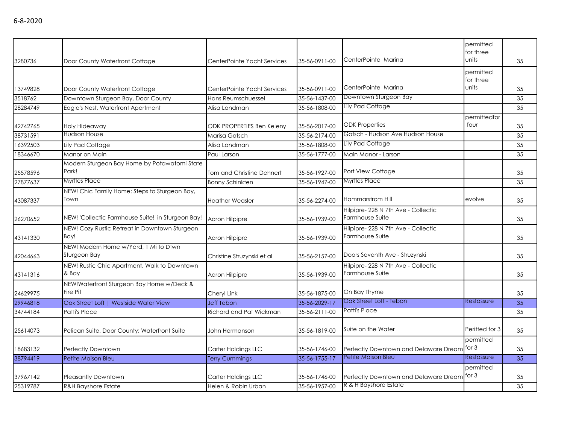|          |                                                       |                             |               |                                                        | permitted<br>for three |    |
|----------|-------------------------------------------------------|-----------------------------|---------------|--------------------------------------------------------|------------------------|----|
| 3280736  | Door County Waterfront Cottage                        | CenterPointe Yacht Services | 35-56-0911-00 | CenterPointe Marina                                    | units                  | 35 |
|          |                                                       |                             |               |                                                        | permitted<br>for three |    |
| 13749828 | Door County Waterfront Cottage                        | CenterPointe Yacht Services | 35-56-0911-00 | CenterPointe Marina                                    | units                  | 35 |
| 3518762  | Downtown Sturgeon Bay, Door County                    | Hans Reumschuessel          | 35-56-1437-00 | Downtown Sturgeon Bay                                  |                        | 35 |
| 28284749 | Eagle's Nest, Waterfront Apartment                    | Alisa Landman               | 35-56-1808-00 | Lily Pad Cottage                                       |                        | 35 |
| 42742765 | Holy Hideaway                                         | ODK PROPERTIES Ben Keleny   | 35-56-2017-00 | <b>ODK Properties</b>                                  | permittedfor<br>four   | 35 |
| 38731591 | <b>Hudson House</b>                                   | Marisa Gotsch               | 35-56-2174-00 | Gotsch - Hudson Ave Hudson House                       |                        | 35 |
| 16392503 | Lily Pad Cottage                                      | Alisa Landman               | 35-56-1808-00 | <b>Lily Pad Cottage</b>                                |                        | 35 |
| 18346670 | Manor on Main                                         | Paul Larson                 | 35-56-1777-00 | Main Manor - Larson                                    |                        | 35 |
| 25578596 | Modern Sturgeon Bay Home by Potawatomi State<br>Park! | Tom and Christine Dehnert   | 35-56-1927-00 | Port View Cottage                                      |                        | 35 |
| 27877637 | Myrtles Place                                         | <b>Bonny Schinkten</b>      | 35-56-1947-00 | <b>Myrtles Place</b>                                   |                        | 35 |
| 43087337 | NEW! Chic Family Home: Steps to Sturgeon Bay,<br>Town | <b>Heather Weasler</b>      | 35-56-2274-00 | Hammarstrom Hill                                       | evolve                 | 35 |
| 26270652 | NEW! 'Collectic Farmhouse Suite!' in Sturgeon Bay!    | Aaron Hilpipre              | 35-56-1939-00 | Hilpipre- 228 N 7th Ave - Collectic<br>Farmhouse Suite |                        | 35 |
| 43141330 | NEW! Cozy Rustic Retreat in Downtown Sturgeon<br>Bay! | Aaron Hilpipre              | 35-56-1939-00 | Hilpipre-228 N 7th Ave - Collectic<br>Farmhouse Suite  |                        | 35 |
| 42044663 | NEW! Modern Home w/Yard, 1 Mi to Dtwn<br>Sturgeon Bay | Christine Struzynski et al  | 35-56-2157-00 | Doors Seventh Ave - Struzynski                         |                        | 35 |
| 43141316 | NEW! Rustic Chic Apartment, Walk to Downtown<br>& Bay | Aaron Hilpipre              | 35-56-1939-00 | Hilpipre-228 N 7th Ave - Collectic<br>Farmhouse Suite  |                        | 35 |
| 24629975 | NEW!Waterfront Sturgeon Bay Home w/Deck &<br>Fire Pit | Cheryl Link                 | 35-56-1875-00 | On Bay Thyme                                           |                        | 35 |
| 29946818 | Oak Street Loft   Westside Water View                 | <b>Jeff Tebon</b>           | 35-56-2029-17 | Oak Street Loft - Tebon                                | Restassure             | 35 |
| 34744184 | Patti's Place                                         | Richard and Pat Wickman     | 35-56-2111-00 | Patti's Place                                          |                        | 35 |
| 25614073 | Pelican Suite, Door County: Waterfront Suite          | John Hermanson              | 35-56-1819-00 | Suite on the Water                                     | Periffed for 3         | 35 |
| 18683132 | Perfectly Downtown                                    | Carter Holdings LLC         | 35-56-1746-00 | Perfectly Downtown and Delaware Dream                  | permitted<br>for 3     | 35 |
| 38794419 | Petite Maison Bleu                                    | <b>Terry Cummings</b>       | 35-56-1755-17 | Petite Maison Bleu                                     | Restassure             | 35 |
| 37967142 | <b>Pleasantly Downtown</b>                            | Carter Holdings LLC         | 35-56-1746-00 | Perfectly Downtown and Delaware Dream                  | permitted<br>for 3     | 35 |
| 25319787 | <b>R&amp;H Bayshore Estate</b>                        | Helen & Robin Urban         | 35-56-1957-00 | R & H Bayshore Estate                                  |                        | 35 |

6-8-2020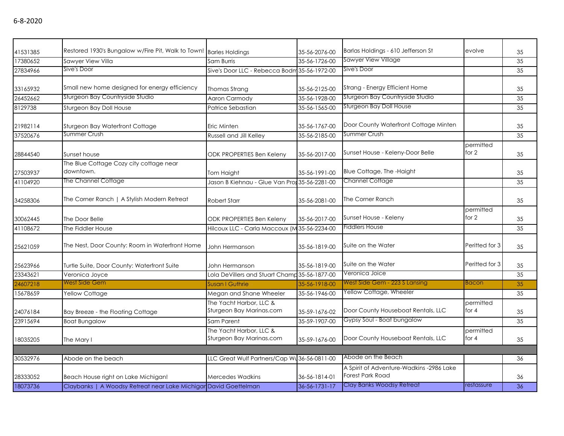| 41531385 | Restored 1930's Bungalow w/Fire Pit, Walk to Town! Barles Holdings |                                                     | 35-56-2076-00 | Barlas Holdings - 610 Jefferson St                                  | evolve               | 35 |
|----------|--------------------------------------------------------------------|-----------------------------------------------------|---------------|---------------------------------------------------------------------|----------------------|----|
| 17380652 | Sawyer View Villa                                                  | Sam Burris                                          | 35-56-1726-00 | <b>Sawyer View Village</b>                                          |                      | 35 |
| 27834966 | Sive's Door                                                        | Sive's Door LLC - Rebecca Bodm 35-56-1972-00        |               | Sive's Door                                                         |                      | 35 |
| 33165932 | Small new home designed for energy efficiency                      | Thomas Strang                                       | 35-56-2125-00 | Strang - Energy Efficient Home                                      |                      | 35 |
| 26452662 | Sturgeon Bay Countryside Studio                                    | Aaron Carmody                                       | 35-56-1928-00 | Sturgeon Bay Countryside Studio                                     |                      | 35 |
| 8129738  | Sturgeon Bay Doll House                                            | Patrice Sebastian                                   | 35-56-1565-00 | Sturgeon Bay Doll House                                             |                      | 35 |
| 21982114 | Sturgeon Bay Waterfront Cottage                                    | Eric Minten                                         | 35-56-1767-00 | Door County Waterfront Cottage Minten                               |                      | 35 |
| 37520676 | Summer Crush                                                       | Russell and Jill Kelley                             | 35-56-2185-00 | <b>Summer Crush</b>                                                 |                      | 35 |
| 28844540 | Sunset house                                                       | <b>ODK PROPERTIES Ben Keleny</b>                    | 35-56-2017-00 | Sunset House - Keleny-Door Belle                                    | permitted<br>for 2   | 35 |
| 27503937 | The Blue Cottage Cozy city cottage near<br>downtown.               | <b>Tom Haight</b>                                   | 35-56-1991-00 | Blue Cottage, The -Haight                                           |                      | 35 |
| 41104920 | The Channel Cottage                                                | Jason B Kiehnau - Glue Van Pror 35-56-2281-00       |               | Channel Cottage                                                     |                      | 35 |
| 34258306 | The Corner Ranch   A Stylish Modern Retreat                        | <b>Robert Starr</b>                                 | 35-56-2081-00 | The Corner Ranch                                                    |                      | 35 |
| 30062445 | The Door Belle                                                     | <b>ODK PROPERTIES Ben Keleny</b>                    | 35-56-2017-00 | Sunset House - Keleny                                               | permitted<br>for $2$ | 35 |
| 41108672 | The Fiddler House                                                  | Hilcoux LLC - Carla Maccoux (M 35-56-2234-00        |               | <b>Fiddlers House</b>                                               |                      | 35 |
| 25621059 | The Nest, Door County: Room in Waterfront Home                     | John Hermanson                                      | 35-56-1819-00 | Suite on the Water                                                  | Peritted for 3       | 35 |
| 25623966 | Turtle Suite, Door County: Waterfront Suite                        | John Hermanson                                      | 35-56-1819-00 | Suite on the Water                                                  | Periffed for 3       | 35 |
| 23343621 | Veronica Joyce                                                     | Lola DeVillers and Stuart Champ 35-56-1877-00       |               | Veronica Joice                                                      |                      | 35 |
| 24607218 | West Side Gem                                                      | Susan I Guthrie                                     | 35-56-1918-00 | West Side Gem - 223 S Lansing                                       | Bacon                | 35 |
| 15678659 | Yellow Cottage                                                     | Megan and Shane Wheeler                             | 35-56-1946-00 | Yellow Cottage, Wheeler                                             |                      | 35 |
| 24076184 | Bay Breeze - the Floating Cottage                                  | The Yacht Harbor, LLC &<br>Sturgeon Bay Marinas.com | 35-59-1676-02 | Door County Houseboat Rentals, LLC                                  | permitted<br>for $4$ | 35 |
| 23915694 | <b>Boat Bungalow</b>                                               | Sam Parent                                          | 35-59-1907-00 | Gypsy Soul - Boat bungalow                                          |                      | 35 |
| 18035205 | The Mary I                                                         | The Yacht Harbor, LLC &<br>Sturgeon Bay Marinas.com | 35-59-1676-00 | Door County Houseboat Rentals, LLC                                  | permitted<br>for $4$ | 35 |
|          |                                                                    |                                                     |               |                                                                     |                      |    |
| 30532976 | Abode on the beach                                                 | LLC Great Wulf Partners/Cap Wu 36-56-0811-00        |               | Abode on the Beach                                                  |                      | 36 |
| 28333052 | Beach House right on Lake Michigan!                                | <b>Mercedes Wadkins</b>                             | 36-56-1814-01 | A Spirit of Adventure-Wadkins -2986 Lake<br><b>Forest Park Road</b> |                      | 36 |
| 18073736 | Claybanks   A Woodsy Retreat near Lake Michigar David Goettelman   |                                                     | 36-56-1731-17 | Clay Banks Woodsy Retreat                                           | restassure           | 36 |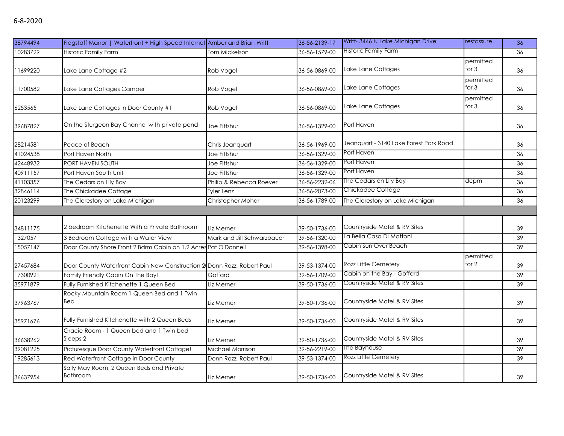| 6-8-2020 |  |
|----------|--|
|----------|--|

| 38794494 | Flagstaff Manor   Waterfront + High Speed Internet Amber and Brian Writt |                            | 36-56-2139-17 | Writt-3446 N Lake Michigan Drive       | restassure           | 36 |
|----------|--------------------------------------------------------------------------|----------------------------|---------------|----------------------------------------|----------------------|----|
| 10283729 | Historic Family Farm                                                     | Tom Mickelson              | 36-56-1579-00 | Historic Family Farm                   |                      | 36 |
| 11699220 | Lake Lane Cottage #2                                                     | Rob Vogel                  | 36-56-0869-00 | Lake Lane Cottages                     | permitted<br>for $3$ | 36 |
| 11700582 | Lake Lane Cottages Camper                                                | Rob Vogel                  | 36-56-0869-00 | Lake Lane Cottages                     | permitted<br>for $3$ | 36 |
| 6253565  | Lake Lane Cottages in Door County #1                                     | Rob Vogel                  | 36-56-0869-00 | Lake Lane Cottages                     | permitted<br>for $3$ | 36 |
| 39687827 | On the Sturgeon Bay Channel with private pond                            | Joe Fittshur               | 36-56-1329-00 | Port Haven                             |                      | 36 |
| 28214581 | Peace of Beach                                                           | Chris Jeanquart            | 36-56-1969-00 | Jeanguart - 3140 Lake Forest Park Road |                      | 36 |
| 41024538 | Port Haven North                                                         | Joe Fittshur               | 36-56-1329-00 | Port Haven                             |                      | 36 |
| 42448932 | PORT HAVEN SOUTH                                                         | Joe Fittshur               | 36-56-1329-00 | Port Haven                             |                      | 36 |
| 40911157 | Port Haven South Unit                                                    | Joe Fittshur               | 36-56-1329-00 | Port Haven                             |                      | 36 |
| 41103357 | The Cedars on Lily Bay                                                   | Philip & Rebecca Roever    | 36-56-2232-06 | The Cedars on Lily Bay                 | dcpm                 | 36 |
| 32846114 | The Chickadee Cottage                                                    | <b>Tyler Lenz</b>          | 36-56-2073-00 | Chickadee Cottage                      |                      | 36 |
| 20123299 | The Clerestory on Lake Michigan                                          | Christopher Mohar          | 36-56-1789-00 | The Clerestory on Lake Michigan        |                      | 36 |
|          |                                                                          |                            |               |                                        |                      |    |
| 34811175 | 2 bedroom Kitchenette With a Private Bathroom                            | Liz Merner                 | 39-50-1736-00 | Countryside Motel & RV Sites           |                      | 39 |
| 1327057  | 3 Bedroom Cottage with a Water View                                      | Mark and Jill Schwarzbauer | 39-56-1320-00 | La Bella Casa Di Mattoni               |                      | 39 |
| 15057147 | Door County Shore Front 2 Bdrm Cabin on 1.2 Acres Pat O'Donnell          |                            | 39-56-1398-00 | Cabin Sun Over Beach                   |                      | 39 |
| 27457684 | Door County Waterfront Cabin New Construction 2 Donn Rozz, Robert Paul   |                            | 39-53-1374-00 | Rozz Little Cemetery                   | permitted<br>for 2   | 39 |
| 17300921 | Family Friendly Cabin On The Bay!                                        | Goffard                    | 39-56-1709-00 | Cabin on the Bay - Goffard             |                      | 39 |
| 35971879 | Fully Furnished Kitchenette 1 Queen Bed                                  | Liz Merner                 | 39-50-1736-00 | Countryside Motel & RV Sites           |                      | 39 |
| 37963767 | Rocky Mountain Room 1 Queen Bed and 1 Twin<br><b>Bed</b>                 | Liz Merner                 | 39-50-1736-00 | Countryside Motel & RV Sites           |                      | 39 |
| 35971676 | Fully Furnished Kitchenette with 2 Queen Beds                            | Liz Merner                 | 39-50-1736-00 | Countryside Motel & RV Sites           |                      | 39 |
| 36638262 | Gracie Room - 1 Queen bed and 1 Twin bed<br>Sleeps 2                     | Liz Merner                 | 39-50-1736-00 | Countryside Motel & RV Sites           |                      | 39 |
| 39081225 | Picturesque Door County Waterfront Cottage!                              | Michael Morrison           | 39-56-2219-00 | The Bayhouse                           |                      | 39 |
| 19285613 | Red Waterfront Cottage in Door County                                    | Donn Rozz, Robert Paul     | 39-53-1374-00 | Rozz Little Cemetery                   |                      | 39 |
| 36637954 | Sally May Room, 2 Queen Beds and Private<br><b>Bathroom</b>              | Liz Merner                 | 39-50-1736-00 | Countryside Motel & RV Sites           |                      | 39 |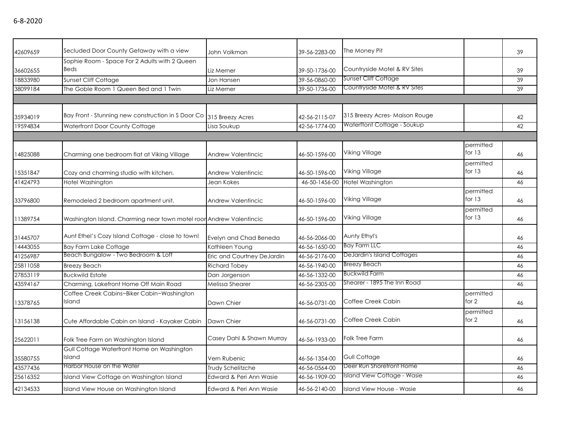| 42609659 | Secluded Door County Getaway with a view                            | John Volkman               | 39-56-2283-00 | The Money Pit                 |           | 39 |
|----------|---------------------------------------------------------------------|----------------------------|---------------|-------------------------------|-----------|----|
|          | Sophie Room - Space For 2 Adults with 2 Queen                       |                            |               |                               |           |    |
| 36602655 | <b>Beds</b>                                                         | Liz Merner                 | 39-50-1736-00 | Countryside Motel & RV Sites  |           | 39 |
| 18833980 | Sunset Cliff Cottage                                                | Jon Hansen                 | 39-56-0860-00 | <b>Sunset Cliff Cottage</b>   |           | 39 |
| 38099184 | The Goble Room 1 Queen Bed and 1 Twin                               | Liz Merner                 | 39-50-1736-00 | Countryside Motel & RV Sites  |           | 39 |
|          |                                                                     |                            |               |                               |           |    |
|          |                                                                     |                            |               |                               |           |    |
| 35934019 | Bay Front - Stunning new construction in S Door Co 315 Breezy Acres |                            | 42-56-2115-07 | 315 Breezy Acres-Maison Rouge |           | 42 |
| 19594834 | Waterfront Door County Cottage                                      | Lisa Soukup                | 42-56-1774-00 | Waterftont Cottage - Soukup   |           | 42 |
|          |                                                                     |                            |               |                               |           |    |
|          |                                                                     |                            |               |                               | permitted |    |
| 14825088 | Charming one bedroom flat at Viking Village                         | Andrew Valentincic         | 46-50-1596-00 | Viking Village                | for $13$  | 46 |
|          |                                                                     |                            |               |                               | permitted |    |
| 15351847 | Cozy and charming studio with kitchen.                              | <b>Andrew Valentincic</b>  | 46-50-1596-00 | Viking Village                | for 13    | 46 |
| 41424793 | Hotel Washington                                                    | Jean Kokes                 | 46-50-1456-00 | Hotel Washington              |           | 46 |
|          |                                                                     |                            |               |                               | permitted |    |
| 33796800 | Remodeled 2 bedroom apartment unit.                                 | Andrew Valentincic         | 46-50-1596-00 | Viking Village                | for $13$  | 46 |
|          |                                                                     |                            |               |                               | permitted |    |
| 11389754 | Washington Island. Charming near town motel roor Andrew Valentincic |                            | 46-50-1596-00 | Viking Village                | for $13$  | 46 |
|          |                                                                     |                            |               |                               |           |    |
| 31445707 | Aunt Ethel's Cozy Island Cottage - close to town!                   | Evelyn and Chad Beneda     | 46-56-2066-00 | Aunty Ethyl's                 |           | 46 |
| 14443055 | <b>Bay Farm Lake Cottage</b>                                        | Kathleen Young             | 46-56-1650-00 | <b>Bay Farm LLC</b>           |           | 46 |
| 41256987 | Beach Bungalow - Two Bedroom & Loff                                 | Eric and Courtney DeJardin | 46-56-2176-00 | DeJardin's Island Cottages    |           | 46 |
| 25811058 | <b>Breezy Beach</b>                                                 | <b>Richard Tobey</b>       | 46-56-1940-00 | <b>Breezy Beach</b>           |           | 46 |
| 27853119 | <b>Buckwild Estate</b>                                              | Dan Jorgenson              | 46-56-1332-00 | <b>Buckwild Farm</b>          |           | 46 |
| 43594167 | Charming, Lakefront Home Off Main Road                              | Melissa Shearer            | 46-56-2305-00 | Shearer - 1895 The Inn Road   |           | 46 |
|          | Coffee Creek Cabins~Biker Cabin~Washington                          |                            |               |                               | permitted |    |
| 13378765 | Island                                                              | Dawn Chier                 | 46-56-0731-00 | Coffee Creek Cabin            | for $2$   | 46 |
|          |                                                                     |                            |               |                               | permitted |    |
| 13156138 | Cute Affordable Cabin on Island - Kayaker Cabin                     | Dawn Chier                 | 46-56-0731-00 | Coffee Creek Cabin            | for 2     | 46 |
|          |                                                                     |                            |               |                               |           |    |
| 25622011 | Folk Tree Farm on Washington Island                                 | Casey Dahl & Shawn Murray  | 46-56-1933-00 | <b>Folk Tree Farm</b>         |           | 46 |
|          | Gull Cottage Waterfront Home on Washington                          |                            |               |                               |           |    |
| 35580755 | Island                                                              | Vern Rubenic               | 46-56-1354-00 | <b>Gull Cottage</b>           |           | 46 |
| 43577436 | Harbor House on the Water                                           | Trudy Schelitzche          | 46-56-0564-00 | Deer Run Shorefront Home      |           | 46 |
| 25616352 | Island View Cottage on Washington Island                            | Edward & Peri Ann Wasie    | 46-56-1909-00 | Island View Cottage - Wasie   |           | 46 |
| 42134533 | Island View House on Washington Island                              | Edward & Peri Ann Wasie    | 46-56-2140-00 | Island View House - Wasie     |           | 46 |
|          |                                                                     |                            |               |                               |           |    |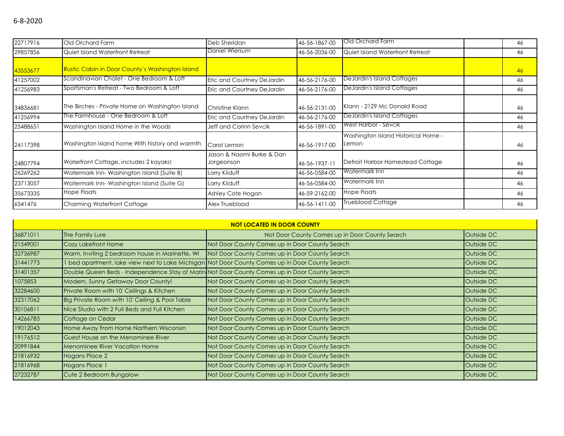| 22717916 | Old Orchard Farm                                       | Deb Sheridan                            | 46-56-1867-00 | Old Orchard Farm                             | 46 |
|----------|--------------------------------------------------------|-----------------------------------------|---------------|----------------------------------------------|----|
| 29857856 | Quiet Island Waterfront Retreat                        | Daniel Wiersum                          | 46-56-2036-00 | Quiet Island Waterfront Retreat              | 46 |
| 43553677 | <b>Rustic Cabin in Door County's Washington Island</b> |                                         |               |                                              | 46 |
| 41257002 | Scandinavian Chalet - One Bedroom & Loft               | Eric and Courtney DeJardin              | 46-56-2176-00 | DeJardin's Island Cottages                   | 46 |
| 41256983 | Sportsman's Retreat - Two Bedroom & Loft               | Eric and Courtney DeJardin              | 46-56-2176-00 | DeJardin's Island Cottages                   | 46 |
| 34836681 | The Birches - Private Home on Washington Island        | Christine Klann                         | 46-56-2131-00 | Klann - 2129 Mc Donald Road                  | 46 |
| 41256994 | The Farmhouse - One Bedroom & Loft                     | Eric and Courtney DeJardin              | 46-56-2176-00 | <b>DeJardin's Island Cottages</b>            | 46 |
| 25488651 | Washington Island Home in the Woods                    | Jeff and Corinn Sevcik                  | 46-56-1891-00 | West Harbor - Sevcik                         | 46 |
| 24117398 | Washington Island home With history and warmth         | Carol Lemon                             | 46-56-1917-00 | Washington Island Historical Home -<br>Lemon | 46 |
| 24807794 | Waterfront Cottage, includes 2 kayaks!                 | Jason & Naomi Burke & Dan<br>Jorgeonson | 46-56-1937-11 | Detroit Harbor Homestead Cottage             | 46 |
| 26269262 | Watermark Inn-Washington Island (Suite B)              | Larry Kilduff                           | 46-56-0584-00 | Watermark Inn                                | 46 |
| 23713057 | Watermark Inn-Washington Island (Suite G)              | Larry Kilduff                           | 46-56-0584-00 | Watermark Inn                                | 46 |
| 35673335 | <b>Hope Floats</b>                                     | Ashley Cote Hogan                       | 46-59-2162-00 | <b>Hope Floats</b>                           | 46 |
| 6541476  | <b>Charming Waterfront Cottage</b>                     | Alex Trueblood                          | 46-56-1411-00 | <b>Trueblood Cottage</b>                     | 46 |

| <b>NOT LOCATED IN DOOR COUNTY</b> |                                                 |                                                                                                 |            |  |  |  |
|-----------------------------------|-------------------------------------------------|-------------------------------------------------------------------------------------------------|------------|--|--|--|
| 36871011                          | The Family Lure                                 | Not Door County Comes up in Door County Search                                                  | Outside DC |  |  |  |
| 21549001                          | Cozy Lakefront Home                             | Not Door County Comes up in Door County Search                                                  | Outside DC |  |  |  |
| 32736987                          | Warm, Inviting 2 bedroom house in Marinette, WI | Not Door County Comes up in Door County Search                                                  | Outside DC |  |  |  |
| 31441773                          |                                                 | 1 bed apartment, lake view next to Lake Michigan Not Door County Comes up in Door County Search | Outside DC |  |  |  |
| 31401357                          |                                                 | Double Queen Beds - Independence Stay of Marin Not Door County Comes up in Door County Search   | Outside DC |  |  |  |
| 1075853                           | Modern, Sunny Getaway Door County!              | Not Door County Comes up in Door County Search                                                  | Outside DC |  |  |  |
| 32284600                          | Private Room with 10' Ceilings & Kitchen        | Not Door County Comes up in Door County Search                                                  | Outside DC |  |  |  |
| 32317062                          | Big Private Room with 10' Ceiling & Pool Table  | Not Door County Comes up in Door County Search                                                  | Outside DC |  |  |  |
| 30106811                          | Nice Studio with 2 Full Beds and Full Kitchen   | Not Door County Comes up in Door County Search                                                  | Outside DC |  |  |  |
| 14266783                          | Cottage on Cedar                                | Not Door County Comes up in Door County Search                                                  | Outside DC |  |  |  |
| 19012043                          | Home Away From Home Northern Wisconsin          | Not Door County Comes up in Door County Search                                                  | Outside DC |  |  |  |
| 19176512                          | Guest House on the Menominee River              | Not Door County Comes up in Door County Search                                                  | Outside DC |  |  |  |
| 20991844                          | <b>Menominee River Vacation Home</b>            | Not Door County Comes up in Door County Search                                                  | Outside DC |  |  |  |
| 21816932                          | Hogans Place 2                                  | Not Door County Comes up in Door County Search                                                  | Outside DC |  |  |  |
| 21816968                          | Hogans Place 1                                  | Not Door County Comes up in Door County Search                                                  | Outside DC |  |  |  |
| 27232787                          | Cute 2 Bedroom Bungalow                         | Not Door County Comes up in Door County Search                                                  | Outside DC |  |  |  |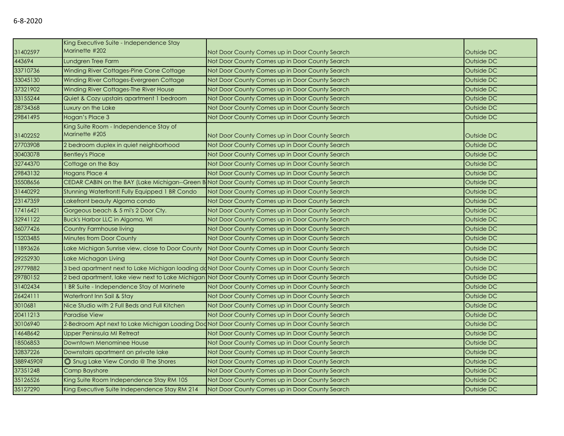|           | King Executive Suite - Independence Stay                                                        |                                                |            |
|-----------|-------------------------------------------------------------------------------------------------|------------------------------------------------|------------|
| 31402597  | Marinette #202                                                                                  | Not Door County Comes up in Door County Search | Outside DC |
| 443694    | Lundgren Tree Farm                                                                              | Not Door County Comes up in Door County Search | Outside DC |
| 33710736  | Winding River Cottages-Pine Cone Cottage                                                        | Not Door County Comes up in Door County Search | Outside DC |
| 33045130  | Winding River Cottages-Evergreen Cottage                                                        | Not Door County Comes up in Door County Search | Outside DC |
| 37321902  | Winding River Cottages-The River House                                                          | Not Door County Comes up in Door County Search | Outside DC |
| 33155244  | Quiet & Cozy upstairs apartment 1 bedroom                                                       | Not Door County Comes up in Door County Search | Outside DC |
| 28734368  | Luxury on the Lake                                                                              | Not Door County Comes up in Door County Search | Outside DC |
| 29841495  | Hogan's Place 3                                                                                 | Not Door County Comes up in Door County Search | Outside DC |
| 31402252  | King Suite Room - Independence Stay of<br>Marinette #205                                        | Not Door County Comes up in Door County Search | Outside DC |
| 27703908  | 2 bedroom duplex in quiet neighborhood                                                          | Not Door County Comes up in Door County Search | Outside DC |
| 30403078  | <b>Bentley's Place</b>                                                                          | Not Door County Comes up in Door County Search | Outside DC |
| 32744370  | Cottage on the Bay                                                                              | Not Door County Comes up in Door County Search | Outside DC |
| 29843132  | <b>Hogans Place 4</b>                                                                           | Not Door County Comes up in Door County Search | Outside DC |
| 35508656  | CEDAR CABIN on the BAY (Lake Michigan--Green B Not Door County Comes up in Door County Search   |                                                | Outside DC |
| 31440292  | Stunning Waterfront! Fully Equipped 1 BR Condo                                                  | Not Door County Comes up in Door County Search | Outside DC |
| 23147359  | Lakefront beauty Algoma condo                                                                   | Not Door County Comes up in Door County Search | Outside DC |
| 17416421  | Gorgeous beach & 5 mi's 2 Door Cty.                                                             | Not Door County Comes up in Door County Search | Outside DC |
| 32941122  | Buck's Harbor LLC in Algoma, WI                                                                 | Not Door County Comes up in Door County Search | Outside DC |
| 36077426  | Country Farmhouse living                                                                        | Not Door County Comes up in Door County Search | Outside DC |
| 15203485  | <b>Minutes from Door County</b>                                                                 | Not Door County Comes up in Door County Search | Outside DC |
| 11893626  | Lake Michigan Sunrise view, close to Door County                                                | Not Door County Comes up in Door County Search | Outside DC |
| 29252930  | Lake Michagan Living                                                                            | Not Door County Comes up in Door County Search | Outside DC |
| 29779882  | 3 bed apartment next to Lake Michigan loading doNot Door County Comes up in Door County Search  |                                                | Outside DC |
| 29780152  | 2 bed apartment, lake view next to Lake Michigan Not Door County Comes up in Door County Search |                                                | Outside DC |
| 31402434  | BR Suite - Independence Stay of Marinete                                                        | Not Door County Comes up in Door County Search | Outside DC |
| 26424111  | Waterfront Inn Sail & Stay                                                                      | Not Door County Comes up in Door County Search | Outside DC |
| 3010681   | Nice Studio with 2 Full Beds and Full Kitchen                                                   | Not Door County Comes up in Door County Search | Outside DC |
| 20411213  | <b>Paradise View</b>                                                                            | Not Door County Comes up in Door County Search | Outside DC |
| 30106940  | 2-Bedroom Apt next to Lake Michigan Loading DodNot Door County Comes up in Door County Search   |                                                | Outside DC |
| 14648642  | Upper Peninsula MI Retreat                                                                      | Not Door County Comes up in Door County Search | Outside DC |
| 18506853  | Downtown Menominee House                                                                        | Not Door County Comes up in Door County Search | Outside DC |
| 32837226  | Downstairs apartment on private lake                                                            | Not Door County Comes up in Door County Search | Outside DC |
| 38894590? | Shug Lake View Condo @ The Shores                                                               | Not Door County Comes up in Door County Search | Outside DC |
| 37351248  | Camp Bayshore                                                                                   | Not Door County Comes up in Door County Search | Outside DC |
| 35126526  | King Suite Room Independence Stay RM 105                                                        | Not Door County Comes up in Door County Search | Outside DC |
| 35127290  | King Executive Suite Independence Stay RM 214                                                   | Not Door County Comes up in Door County Search | Outside DC |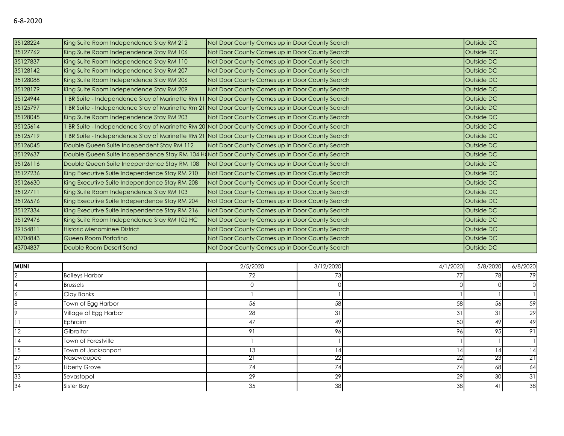| 35128224 | King Suite Room Independence Stay RM 212                                                     | Not Door County Comes up in Door County Search                                                 | Outside DC |
|----------|----------------------------------------------------------------------------------------------|------------------------------------------------------------------------------------------------|------------|
| 35127762 | King Suite Room Independence Stay RM 106                                                     | Not Door County Comes up in Door County Search                                                 | Outside DC |
| 35127837 | King Suite Room Independence Stay RM 110                                                     | Not Door County Comes up in Door County Search                                                 | Outside DC |
| 35128142 | King Suite Room Independence Stay RM 207                                                     | Not Door County Comes up in Door County Search                                                 | Outside DC |
| 35128088 | King Suite Room Independence Stay RM 206                                                     | Not Door County Comes up in Door County Search                                                 | Outside DC |
| 35128179 | King Suite Room Independence Stay RM 209                                                     | Not Door County Comes up in Door County Search                                                 | Outside DC |
| 35124944 |                                                                                              | BR Suite - Independence Stay of Marinette RM 11 Not Door County Comes up in Door County Search | Outside DC |
| 35125797 |                                                                                              | BR Suite - Independence Stay of Marinette Rm 21 Not Door County Comes up in Door County Search | Outside DC |
| 35128045 | King Suite Room Independence Stay RM 203                                                     | Not Door County Comes up in Door County Search                                                 | Outside DC |
| 35125614 |                                                                                              | BR Suite - Independence Stay of Marinette RM 20 Not Door County Comes up in Door County Search | Outside DC |
| 35125719 |                                                                                              | BR Suite - Independence Stay of Marinette RM 21 Not Door County Comes up in Door County Search | Outside DC |
| 35126045 | Double Queen Suite Independent Stay RM 112                                                   | Not Door County Comes up in Door County Search                                                 | Outside DC |
| 35129637 | Double Queen Suite Independence Stay RM 104 H(Not Door County Comes up in Door County Search |                                                                                                | Outside DC |
| 35126116 | Double Queen Suite Independence Stay RM 108                                                  | Not Door County Comes up in Door County Search                                                 | Outside DC |
| 35127236 | King Executive Suite Independence Stay RM 210                                                | Not Door County Comes up in Door County Search                                                 | Outside DC |
| 35126630 | King Executive Suite Independence Stay RM 208                                                | Not Door County Comes up in Door County Search                                                 | Outside DC |
| 35127711 | King Suite Room Independence Stay RM 103                                                     | Not Door County Comes up in Door County Search                                                 | Outside DC |
| 35126576 | King Executive Suite Independence Stay RM 204                                                | Not Door County Comes up in Door County Search                                                 | Outside DC |
| 35127334 | King Executive Suite Independence Stay RM 216                                                | Not Door County Comes up in Door County Search                                                 | Outside DC |
| 35129476 | King Suite Room Independence Stay RM 102 HC                                                  | Not Door County Comes up in Door County Search                                                 | Outside DC |
| 39154811 | <b>Historic Menominee District</b>                                                           | Not Door County Comes up in Door County Search                                                 | Outside DC |
| 43704843 | Queen Room Portofino                                                                         | Not Door County Comes up in Door County Search                                                 | Outside DC |
| 43704837 | Double Room Desert Sand                                                                      | Not Door County Comes up in Door County Search                                                 | Outside DC |

| <b>MUNI</b>    |                       | 2/5/2020 | 3/12/2020 | 4/1/2020       | 5/8/2020 | 6/8/2020 |
|----------------|-----------------------|----------|-----------|----------------|----------|----------|
| 2              | <b>Baileys Harbor</b> | 72       | 73        | 77             | 78       | 79       |
| $\overline{4}$ | <b>Brussels</b>       |          |           |                |          |          |
| $\circ$        | Clay Banks            |          |           |                |          |          |
| 8              | Town of Egg Harbor    | 56       | 58        | 58             | 56       | 59       |
| 9              | Village of Egg Harbor | 28       | 31        | 3 <sup>1</sup> | 31       | 29       |
| 11             | Ephraim               | 47       | 49        | 50             | 49       | 49       |
| 12             | Gibraltar             | 91       | 96        | 96             | 95       | 91       |
| 14             | Town of Forestville   |          |           |                |          |          |
| 15             | Town of Jacksonport   | 13       | l 4l      | 14             | 14       | 14       |
| 27             | Nasewaupee            | ∠ ।      | 22        | 22             | 23       | ∠ ا      |
| 32             | Liberty Grove         | 74       | 74        | 74.            | 68       | 64       |
| 33             | Sevastopol            | 29       | 29        | 29             | 30       | 31       |
| 34             | Sister Bay            | 35       | 38        | 38             | 41       | 38       |